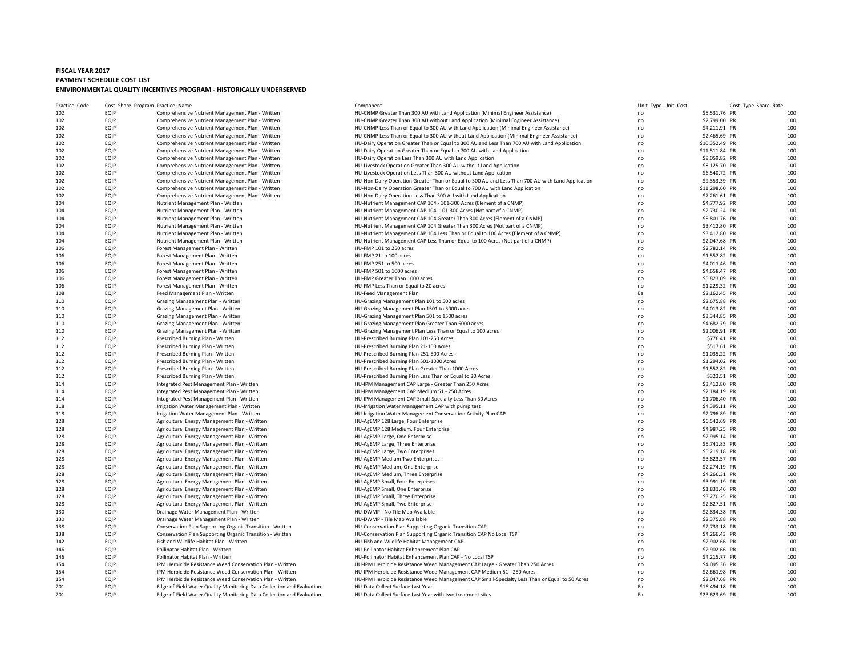## **FISCAL YEAR 2017 PAYMENT SCHEDULE COST LIST ENIVIRONMENTAL QUALITY INCENTIVES PROGRAM ‐ HISTORICALLY UNDERSERVED**

| Practice_Code | Cost_Share_Program_Practice_Name |                                                                       | Component                                                                                         | Unit_Type Unit_Cost |                | Cost_Type Share_Rate |                 |
|---------------|----------------------------------|-----------------------------------------------------------------------|---------------------------------------------------------------------------------------------------|---------------------|----------------|----------------------|-----------------|
| 102           | EQIP                             | Comprehensive Nutrient Management Plan - Written                      | HU-CNMP Greater Than 300 AU with Land Application (Minimal Engineer Assistance)                   | no                  | \$5,531.76 PR  |                      | 10 <sub>C</sub> |
| 102           | EQIP                             | Comprehensive Nutrient Management Plan - Written                      | HU-CNMP Greater Than 300 AU without Land Application (Minimal Engineer Assistance)                | no                  | \$2,799.00 PR  |                      | 10 <sub>C</sub> |
| 102           | EQIP                             | Comprehensive Nutrient Management Plan - Written                      | HU-CNMP Less Than or Equal to 300 AU with Land Application (Minimal Engineer Assistance)          | no                  | \$4,211.91 PR  |                      | 100             |
| 102           | EQIP                             | Comprehensive Nutrient Management Plan - Written                      | HU-CNMP Less Than or Equal to 300 AU without Land Application (Minimal Engineer Assistance)       | no                  | \$2,465.69 PR  |                      | 10 <sup>c</sup> |
| 102           | EQIP                             | Comprehensive Nutrient Management Plan - Written                      | HU-Dairy Operation Greater Than or Equal to 300 AU and Less Than 700 AU with Land Application     | no                  | \$10,352.49 PR |                      | 100             |
| 102           | EQIP                             | Comprehensive Nutrient Management Plan - Written                      | HU-Dairy Operation Greater Than or Equal to 700 AU with Land Application                          | no                  | \$11,511.84 PR |                      | 100             |
| 102           | EQIP                             | Comprehensive Nutrient Management Plan - Written                      | HU-Dairy Operation Less Than 300 AU with Land Application                                         | no                  | \$9,059.82 PR  |                      | 100             |
| 102           | EQIP                             | Comprehensive Nutrient Management Plan - Written                      | HU-Livestock Operation Greater Than 300 AU without Land Application                               | no                  | \$8,125.70 PR  |                      | 100             |
| 102           | EQIP                             | Comprehensive Nutrient Management Plan - Written                      | HU-Livestock Operation Less Than 300 AU without Land Application                                  | no                  | \$6,540.72 PR  |                      | 10 <sub>C</sub> |
| 102           | EQIP                             | Comprehensive Nutrient Management Plan - Written                      | HU-Non-Dairy Operation Greater Than or Equal to 300 AU and Less Than 700 AU with Land Application | no                  | \$9,353.39 PR  |                      | 100             |
| 102           | EQIP                             | Comprehensive Nutrient Management Plan - Written                      | HU-Non-Dairy Operation Greater Than or Equal to 700 AU with Land Application                      | no                  | \$11,298.60 PR |                      | 100             |
| 102           | EQIP                             | Comprehensive Nutrient Management Plan - Written                      | HU-Non-Dairy Operation Less Than 300 AU with Land Application                                     | no                  | \$7,261.61 PR  |                      | 100             |
| 104           | EQIP                             | Nutrient Management Plan - Written                                    | HU-Nutrient Management CAP 104 - 101-300 Acres (Element of a CNMP)                                | no                  | \$4,777.92 PR  |                      | 100             |
| 104           | EQIP                             | Nutrient Management Plan - Written                                    | HU-Nutrient Management CAP 104-101-300 Acres (Not part of a CNMP)                                 | no                  | \$2,730.24 PR  |                      | 100             |
| 104           | EQIP                             | Nutrient Management Plan - Written                                    | HU-Nutrient Management CAP 104 Greater Than 300 Acres (Element of a CNMP)                         | no                  | \$5,801.76 PR  |                      | 100             |
| 104           | EQIP                             | Nutrient Management Plan - Written                                    | HU-Nutrient Management CAP 104 Greater Than 300 Acres (Not part of a CNMP)                        | no                  | \$3,412.80 PR  |                      | 10 <sub>C</sub> |
| 104           | EQIP                             | Nutrient Management Plan - Written                                    | HU-Nutrient Management CAP 104 Less Than or Equal to 100 Acres (Element of a CNMP)                |                     |                |                      | 100             |
| 104           | EQIP                             |                                                                       |                                                                                                   | no                  | \$3,412.80 PR  |                      | 100             |
|               |                                  | Nutrient Management Plan - Written                                    | HU-Nutrient Management CAP Less Than or Equal to 100 Acres (Not part of a CNMP)                   | no                  | \$2,047.68 PR  |                      |                 |
| 106           | EQIP                             | Forest Management Plan - Written                                      | HU-FMP 101 to 250 acres                                                                           | no                  | \$2,782.14 PR  |                      | 10 <sup>c</sup> |
| 106           | EQIP                             | Forest Management Plan - Written                                      | HU-FMP 21 to 100 acres                                                                            | no                  | \$1,552.82 PR  |                      | 10 <sub>C</sub> |
| 106           | EQIP                             | Forest Management Plan - Written                                      | HU-FMP 251 to 500 acres                                                                           | no                  | \$4,011.46 PR  |                      | 10 <sup>c</sup> |
| 106           | EQIP                             | Forest Management Plan - Written                                      | HU-FMP 501 to 1000 acres                                                                          | no                  | \$4,658.47 PR  |                      | 10 <sub>C</sub> |
| 106           | EQIP                             | Forest Management Plan - Written                                      | HU-FMP Greater Than 1000 acres                                                                    | no                  | \$5,823.09 PR  |                      | 100             |
| 106           | EQIP                             | Forest Management Plan - Written                                      | HU-FMP Less Than or Equal to 20 acres                                                             | no                  | \$1,229.32 PR  |                      | 10 <sub>C</sub> |
| 108           | EQIP                             | Feed Management Plan - Written                                        | HU-Feed Management Plan                                                                           | Ea                  | \$2,162.45 PR  |                      | 100             |
| 110           | EQIP                             | Grazing Management Plan - Written                                     | HU-Grazing Management Plan 101 to 500 acres                                                       | no                  | \$2,675.88 PR  |                      | 100             |
| 110           | EQIP                             | Grazing Management Plan - Written                                     | HU-Grazing Management Plan 1501 to 5000 acres                                                     | no                  | \$4,013.82 PR  |                      | 10 <sup>c</sup> |
| 110           | EQIP                             | Grazing Management Plan - Written                                     | HU-Grazing Management Plan 501 to 1500 acres                                                      | no                  | \$3,344.85 PR  |                      | 10 <sub>C</sub> |
| 110           | EQIP                             | Grazing Management Plan - Written                                     | HU-Grazing Management Plan Greater Than 5000 acres                                                | no                  | \$4,682.79 PR  |                      | 10 <sup>c</sup> |
| 110           | EQIP                             | Grazing Management Plan - Written                                     | HU-Grazing Management Plan Less Than or Equal to 100 acres                                        | no                  | \$2,006.91 PR  |                      | 10 <sub>C</sub> |
| 112           | EQIP                             | Prescribed Burning Plan - Written                                     | HU-Prescribed Burning Plan 101-250 Acres                                                          | no                  | \$776.41 PR    |                      | 10 <sup>c</sup> |
| 112           | EQIP                             | Prescribed Burning Plan - Written                                     | HU-Prescribed Burning Plan 21-100 Acres                                                           | no                  | \$517.61 PR    |                      | 10 <sub>C</sub> |
| 112           | EQIP                             | Prescribed Burning Plan - Written                                     | HU-Prescribed Burning Plan 251-500 Acres                                                          | no                  | \$1,035.22 PR  |                      | 10 <sup>c</sup> |
| 112           | EQIP                             | Prescribed Burning Plan - Written                                     | HU-Prescribed Burning Plan 501-1000 Acres                                                         | no                  | \$1,294.02 PR  |                      | 100             |
| 112           | EQIP                             | Prescribed Burning Plan - Written                                     | HU-Prescribed Burning Plan Greater Than 1000 Acres                                                | no                  | \$1,552.82 PR  |                      | 100             |
| 112           | EQIP                             | Prescribed Burning Plan - Written                                     | HU-Prescribed Burning Plan Less Than or Equal to 20 Acres                                         | no                  | \$323.51 PR    |                      | 100             |
|               |                                  |                                                                       |                                                                                                   |                     |                |                      | 100             |
| 114           | EQIP<br>EQIP                     | Integrated Pest Management Plan - Written                             | HU-IPM Management CAP Large - Greater Than 250 Acres                                              | no                  | \$3,412.80 PR  |                      |                 |
| 114           |                                  | Integrated Pest Management Plan - Written                             | HU-IPM Management CAP Medium 51 - 250 Acres                                                       | no                  | \$2,184.19 PR  |                      | 10 <sub>C</sub> |
| 114           | EQIP                             | Integrated Pest Management Plan - Written                             | HU-IPM Management CAP Small-Specialty Less Than 50 Acres                                          | no                  | \$1,706.40 PR  |                      | 10 <sub>C</sub> |
| 118           | EQIP                             | Irrigation Water Management Plan - Written                            | HU-Irrigation Water Management CAP with pump test                                                 | no                  | \$4,395.11 PR  |                      | 100             |
| 118           | EQIP                             | Irrigation Water Management Plan - Written                            | HU-Irrigation Water Management Conservation Activity Plan CAP                                     | no                  | \$2,796.89 PR  |                      | 10 <sub>C</sub> |
| 128           | EQIP                             | Agricultural Energy Management Plan - Written                         | HU-AgEMP 128 Large, Four Enterprise                                                               | no                  | \$6,542.69 PR  |                      | 100             |
| 128           | EQIP                             | Agricultural Energy Management Plan - Written                         | HU-AgEMP 128 Medium, Four Enterprise                                                              | no                  | \$4,987.25 PR  |                      | 10 <sub>C</sub> |
| 128           | EQIP                             | Agricultural Energy Management Plan - Written                         | HU-AgEMP Large, One Enterprise                                                                    | no                  | \$2,995.14 PR  |                      | 10 <sup>c</sup> |
| 128           | EQIP                             | Agricultural Energy Management Plan - Written                         | HU-AgEMP Large, Three Enterprise                                                                  | no                  | \$5,741.83 PR  |                      | 10 <sub>C</sub> |
| 128           | EQIP                             | Agricultural Energy Management Plan - Written                         | HU-AgEMP Large, Two Enterprises                                                                   | no                  | \$5,219.18 PR  |                      | 10 <sup>c</sup> |
| 128           | EQIP                             | Agricultural Energy Management Plan - Written                         | HU-AgEMP Medium Two Enterprises                                                                   | no                  | \$3,823.57 PR  |                      | 10 <sub>C</sub> |
| 128           | EQIP                             | Agricultural Energy Management Plan - Written                         | HU-AgEMP Medium, One Enterprise                                                                   | no                  | \$2,274.19 PR  |                      | 10 <sup>c</sup> |
| 128           | EQIP                             | Agricultural Energy Management Plan - Written                         | HU-AgEMP Medium, Three Enterprise                                                                 | no                  | \$4,266.31 PR  |                      | 100             |
| 128           | EQIP                             | Agricultural Energy Management Plan - Written                         | HU-AgEMP Small, Four Enterprises                                                                  | no                  | \$3,991.19 PR  |                      | 100             |
| 128           | EQIP                             | Agricultural Energy Management Plan - Written                         | HU-AgEMP Small, One Enterprise                                                                    | no                  | \$1,831.46 PR  |                      | 100             |
| 128           | EQIP                             | Agricultural Energy Management Plan - Written                         | HU-AgEMP Small, Three Enterprise                                                                  | no                  | \$3,270.25 PR  |                      | 10 <sup>c</sup> |
| 128           | EQIP                             | Agricultural Energy Management Plan - Written                         | HU-AgEMP Small, Two Enterprise                                                                    | no                  | \$2,827.51 PR  |                      | 10 <sub>C</sub> |
| 130           | EQIP                             | Drainage Water Management Plan - Written                              | HU-DWMP - No Tile Map Available                                                                   | no                  | \$2,834.38 PR  |                      | 10 <sub>C</sub> |
| 130           | EQIP                             | Drainage Water Management Plan - Written                              | HU-DWMP - Tile Map Available                                                                      | no                  | \$2,375.88 PR  |                      | 100             |
| 138           | EQIP                             | Conservation Plan Supporting Organic Transition - Written             | HU-Conservation Plan Supporting Organic Transition CAP                                            | no                  | \$2,733.18 PR  |                      | 100             |
| 138           | EQIP                             | Conservation Plan Supporting Organic Transition - Written             | HU-Conservation Plan Supporting Organic Transition CAP No Local TSP                               | no                  | \$4,266.43 PR  |                      | 100             |
| 142           | EQIP                             | Fish and Wildlife Habitat Plan - Written                              | HU-Fish and Wildlife Habitat Management CAP                                                       | no                  | \$2,902.66 PR  |                      | 10 <sub>C</sub> |
| 146           | EQIP                             | Pollinator Habitat Plan - Written                                     | HU-Pollinator Habitat Enhancement Plan CAP                                                        | no                  | \$2,902.66 PR  |                      | 100             |
| 146           | EQIP                             | Pollinator Habitat Plan - Written                                     | HU-Pollinator Habitat Enhancement Plan CAP - No Local TSP                                         | no                  | \$4,215.77 PR  |                      | 10 <sub>C</sub> |
| 154           | EQIP                             | IPM Herbicide Resistance Weed Conservation Plan - Written             | HU-IPM Herbicide Resistance Weed Management CAP Large - Greater Than 250 Acres                    | no                  | \$4,095.36 PR  |                      | 100             |
| 154           | EQIP                             | IPM Herbicide Resistance Weed Conservation Plan - Written             | HU-IPM Herbicide Resistance Weed Management CAP Medium 51 - 250 Acres                             | no                  | \$2,661.98 PR  |                      | 10 <sub>C</sub> |
| 154           | EQIP                             | IPM Herbicide Resistance Weed Conservation Plan - Written             | HU-IPM Herbicide Resistance Weed Management CAP Small-Specialty Less Than or Equal to 50 Acres    | no                  | \$2,047.68 PR  |                      | 100             |
|               | EQIP                             |                                                                       |                                                                                                   |                     |                |                      | 100             |
| 201           | EQIP                             | Edge-of-Field Water Quality Monitoring-Data Collection and Evaluation | HU-Data Collect Surface Last Year                                                                 | Ea<br>Ea            | \$16,494.18 PR |                      |                 |
| 201           |                                  | Edge-of-Field Water Quality Monitoring-Data Collection and Evaluation | HU-Data Collect Surface Last Year with two treatment sites                                        |                     | \$23,623.69 PR |                      | 100             |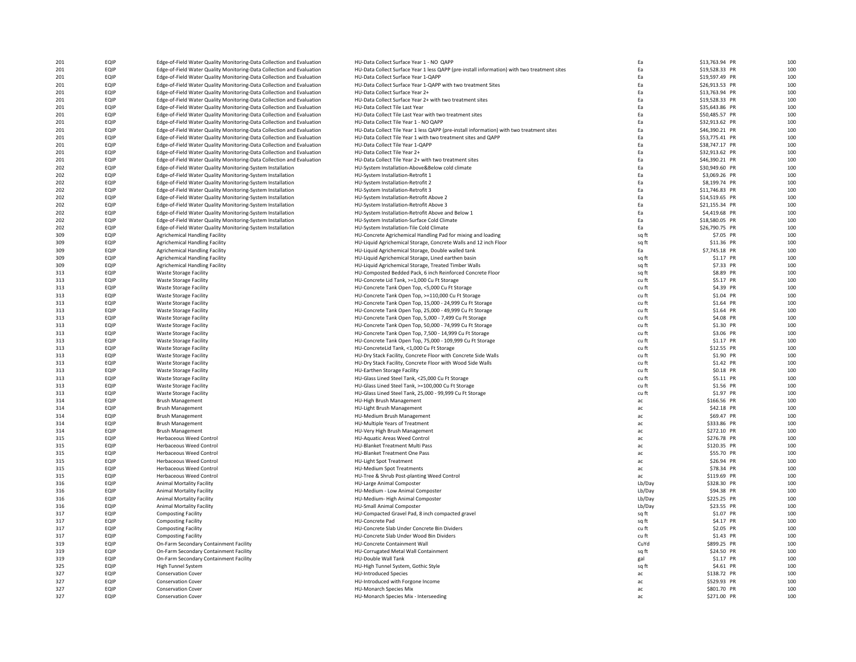| 201 | EQIP | Edge-of-Field Water Quality Monitoring-Data Collection and Evaluation | HU-Data Collect Surface Year 1 - NO QAPP                                                    | Ea     | \$13,763.94 PR | 10 <sub>C</sub> |
|-----|------|-----------------------------------------------------------------------|---------------------------------------------------------------------------------------------|--------|----------------|-----------------|
|     |      |                                                                       |                                                                                             |        |                |                 |
| 201 | EQIP | Edge-of-Field Water Quality Monitoring-Data Collection and Evaluation | HU-Data Collect Surface Year 1 less QAPP (pre-install information) with two treatment sites | Ea     | \$19,528.33 PR | 100             |
| 201 | EQIP | Edge-of-Field Water Quality Monitoring-Data Collection and Evaluation | HU-Data Collect Surface Year 1-QAPP                                                         | Ea     | \$19,597.49 PR | 10 <sup>c</sup> |
| 201 | EQIP | Edge-of-Field Water Quality Monitoring-Data Collection and Evaluation | HU-Data Collect Surface Year 1-OAPP with two treatment Sites                                | Ea     | \$26,913.53 PR | 10 <sup>c</sup> |
|     |      |                                                                       |                                                                                             |        |                |                 |
| 201 | EQIP | Edge-of-Field Water Quality Monitoring-Data Collection and Evaluation | HU-Data Collect Surface Year 2+                                                             | Ea     | \$13,763.94 PR | 10 <sup>c</sup> |
| 201 | EQIP | Edge-of-Field Water Quality Monitoring-Data Collection and Evaluation | HU-Data Collect Surface Year 2+ with two treatment sites                                    | Ea     | \$19,528.33 PR | 10 <sup>c</sup> |
| 201 | EQIP | Edge-of-Field Water Quality Monitoring-Data Collection and Evaluation | HU-Data Collect Tile Last Year                                                              | Ea     | \$35,643.86 PR | 10 <sub>C</sub> |
|     |      |                                                                       |                                                                                             |        |                |                 |
| 201 | EQIP | Edge-of-Field Water Quality Monitoring-Data Collection and Evaluation | HU-Data Collect Tile Last Year with two treatment sites                                     | Ea     | \$50,485.57 PR | 10 <sub>C</sub> |
| 201 | EQIP | Edge-of-Field Water Quality Monitoring-Data Collection and Evaluation | HU-Data Collect Tile Year 1 - NO QAPP                                                       | Ea     | \$32,913.62 PR | 10 <sup>c</sup> |
| 201 | EQIP | Edge-of-Field Water Quality Monitoring-Data Collection and Evaluation | HU-Data Collect Tile Year 1 less QAPP (pre-install information) with two treatment sites    | Ea     | \$46,390.21 PR | 10 <sub>C</sub> |
|     | EQIP |                                                                       |                                                                                             | Ea     |                | 10 <sup>c</sup> |
| 201 |      | Edge-of-Field Water Quality Monitoring-Data Collection and Evaluation | HU-Data Collect Tile Year 1 with two treatment sites and QAPP                               |        | \$53,775.41 PR |                 |
| 201 | EQIP | Edge-of-Field Water Quality Monitoring-Data Collection and Evaluation | HU-Data Collect Tile Year 1-QAPP                                                            | Ea     | \$38,747.17 PR | 10 <sub>C</sub> |
| 201 | EQIP | Edge-of-Field Water Quality Monitoring-Data Collection and Evaluation | HU-Data Collect Tile Year 2+                                                                | Ea     | \$32,913.62 PR | 100             |
|     |      |                                                                       |                                                                                             |        |                |                 |
| 201 | EQIP | Edge-of-Field Water Quality Monitoring-Data Collection and Evaluation | HU-Data Collect Tile Year 2+ with two treatment sites                                       | Ea     | \$46,390.21 PR | 10 <sub>C</sub> |
| 202 | EQIP | Edge-of-Field Water Quality Monitoring-System Installation            | HU-System Installation-Above&Below cold climate                                             | Ea     | \$30,949.60 PR | 100             |
| 202 | EQIP | Edge-of-Field Water Quality Monitoring-System Installation            | HU-System Installation-Retrofit 1                                                           | Ea     | \$3,069.26 PR  | 100             |
| 202 | EQIP | Edge-of-Field Water Quality Monitoring-System Installation            | HU-System Installation-Retrofit 2                                                           | Ea     | \$8,199.74 PR  | 100             |
|     |      |                                                                       |                                                                                             |        |                |                 |
| 202 | EQIP | Edge-of-Field Water Quality Monitoring-System Installation            | HU-System Installation-Retrofit 3                                                           | Ea     | \$11,746.83 PR | 100             |
| 202 | EQIP | Edge-of-Field Water Quality Monitoring-System Installation            | HU-System Installation-Retrofit Above 2                                                     | Ea     | \$14,519.65 PR | 100             |
|     |      |                                                                       |                                                                                             |        |                |                 |
| 202 | EQIP | Edge-of-Field Water Quality Monitoring-System Installation            | HU-System Installation-Retrofit Above 3                                                     | Ea     | \$21,155.34 PR | 100             |
| 202 | EQIP | Edge-of-Field Water Quality Monitoring-System Installation            | HU-System Installation-Retrofit Above and Below 1                                           | Ea     | \$4,419.68 PR  | 100             |
| 202 | EQIP | Edge-of-Field Water Quality Monitoring-System Installation            | HU-System Installation-Surface Cold Climate                                                 | Ea     | \$18,580.05 PR | 100             |
| 202 | EQIP | Edge-of-Field Water Quality Monitoring-System Installation            | HU-System Installation-Tile Cold Climate                                                    | Ea     | \$26,790.75 PR | 10 <sup>c</sup> |
|     |      |                                                                       |                                                                                             |        |                |                 |
| 309 | EQIP | <b>Agrichemical Handling Facility</b>                                 | HU-Concrete Agrichemical Handling Pad for mixing and loading                                | sq ft  | \$7.05 PR      | 10 <sup>c</sup> |
| 309 | EQIP | <b>Agrichemical Handling Facility</b>                                 | HU-Liquid Agrichemical Storage, Concrete Walls and 12 inch Floor                            | sq ft  | \$11.36 PR     | 100             |
| 309 | EQIP |                                                                       |                                                                                             | Ea     | \$7,745.18 PR  | 10 <sub>C</sub> |
|     |      | <b>Agrichemical Handling Facility</b>                                 | HU-Liquid Agrichemical Storage, Double walled tank                                          |        |                |                 |
| 309 | EQIP | <b>Agrichemical Handling Facility</b>                                 | HU-Liquid Agrichemical Storage, Lined earthen basin                                         | sq ft  | \$1.17 PR      | 10 <sub>C</sub> |
| 309 | EQIP | <b>Agrichemical Handling Facility</b>                                 | HU-Liquid Agrichemical Storage, Treated Timber Walls                                        | sq ft  | \$7.33 PR      | 100             |
| 313 | EQIP | <b>Waste Storage Facility</b>                                         | HU-Composted Bedded Pack, 6 inch Reinforced Concrete Floor                                  |        | \$8.89 PR      | 10 <sub>C</sub> |
|     |      |                                                                       |                                                                                             | sq ft  |                |                 |
| 313 | EQIP | Waste Storage Facility                                                | HU-Concrete Lid Tank, >=1,000 Cu Ft Storage                                                 | cu ft  | \$5.17 PR      | 10 <sup>c</sup> |
| 313 | EQIP | <b>Waste Storage Facility</b>                                         | HU-Concrete Tank Open Top, <5,000 Cu Ft Storage                                             | cu ft  | \$4.39 PR      | 10 <sup>c</sup> |
|     |      |                                                                       |                                                                                             |        |                | 100             |
| 313 | EQIP | <b>Waste Storage Facility</b>                                         | HU-Concrete Tank Open Top, >=110,000 Cu Ft Storage                                          | cu ft  | \$1.04 PR      |                 |
| 313 | EQIP | <b>Waste Storage Facility</b>                                         | HU-Concrete Tank Open Top, 15,000 - 24,999 Cu Ft Storage                                    | cu ft  | \$1.64 PR      | 10 <sub>C</sub> |
| 313 | EQIP | <b>Waste Storage Facility</b>                                         | HU-Concrete Tank Open Top, 25,000 - 49,999 Cu Ft Storage                                    | cu ft  | \$1.64 PR      | 10 <sub>C</sub> |
| 313 | EQIP | <b>Waste Storage Facility</b>                                         | HU-Concrete Tank Open Top, 5,000 - 7,499 Cu Ft Storage                                      | cu ft  | \$4.08 PR      | 100             |
|     |      |                                                                       |                                                                                             |        |                |                 |
| 313 | EQIP | <b>Waste Storage Facility</b>                                         | HU-Concrete Tank Open Top, 50,000 - 74,999 Cu Ft Storage                                    | cu ft  | \$1.30 PR      | 100             |
| 313 | EQIP | <b>Waste Storage Facility</b>                                         | HU-Concrete Tank Open Top, 7,500 - 14,999 Cu Ft Storage                                     | cu ft  | \$3.06 PR      | 100             |
|     | EQIP |                                                                       |                                                                                             |        |                | 100             |
| 313 |      | <b>Waste Storage Facility</b>                                         | HU-Concrete Tank Open Top, 75,000 - 109,999 Cu Ft Storage                                   | cu ft  | \$1.17 PR      |                 |
| 313 | EQIP | <b>Waste Storage Facility</b>                                         | HU-ConcreteLid Tank, <1,000 Cu Ft Storage                                                   | cu ft  | \$12.55 PR     | 100             |
| 313 | EQIP | Waste Storage Facility                                                | HU-Dry Stack Facility, Concrete Floor with Concrete Side Walls                              | cu ft  | \$1.90 PR      | 100             |
|     | EQIP | <b>Waste Storage Facility</b>                                         | HU-Dry Stack Facility, Concrete Floor with Wood Side Walls                                  |        |                | 100             |
| 313 |      |                                                                       |                                                                                             | cu ft  | \$1.42 PR      |                 |
| 313 | EQIP | <b>Waste Storage Facility</b>                                         | HU-Earthen Storage Facility                                                                 | cu ft  | \$0.18 PR      | 100             |
| 313 | EQIP | <b>Waste Storage Facility</b>                                         | HU-Glass Lined Steel Tank, <25,000 Cu Ft Storage                                            | cu ft  | \$5.11 PR      | 10 <sup>c</sup> |
| 313 | EQIP | <b>Waste Storage Facility</b>                                         | HU-Glass Lined Steel Tank, >=100,000 Cu Ft Storage                                          | cu ft  | \$1.56 PR      | 10 <sup>c</sup> |
|     |      |                                                                       |                                                                                             |        |                |                 |
| 313 | EQIP | Waste Storage Facility                                                | HU-Glass Lined Steel Tank, 25,000 - 99,999 Cu Ft Storage                                    | cu ft  | \$1.97 PR      | 100             |
| 314 | EQIP | <b>Brush Management</b>                                               | HU-High Brush Management                                                                    | ac     | \$166.56 PR    | 10 <sub>C</sub> |
| 314 | EQIP | <b>Brush Management</b>                                               | HU-Light Brush Management                                                                   | ac     | \$42.18 PR     | 10 <sub>C</sub> |
|     |      |                                                                       |                                                                                             |        |                |                 |
| 314 | EQIP | <b>Brush Management</b>                                               | HU-Medium Brush Management                                                                  | ac     | \$69.47 PR     | 10 <sub>C</sub> |
| 314 | EQIP | <b>Brush Management</b>                                               | HU-Multiple Years of Treatment                                                              | ac     | \$333.86 PR    | 10 <sub>C</sub> |
| 314 | EQIP | <b>Brush Management</b>                                               | HU-Very High Brush Management                                                               | ac     | \$272.10 PR    | 10 <sup>c</sup> |
| 315 | EQIP | <b>Herbaceous Weed Control</b>                                        | <b>HU-Aquatic Areas Weed Control</b>                                                        | ac     | \$276.78 PR    | 100             |
|     |      |                                                                       |                                                                                             |        |                |                 |
| 315 | EQIP | Herbaceous Weed Control                                               | HU-Blanket Treatment Multi Pass                                                             | ac     | \$120.35 PR    | 100             |
| 315 | EQIP | <b>Herbaceous Weed Control</b>                                        | HU-Blanket Treatment One Pass                                                               | ac     | \$55.70 PR     | 10 <sub>C</sub> |
| 315 | EQIP | <b>Herbaceous Weed Control</b>                                        | HU-Light Spot Treatment                                                                     | ac     | \$26.94 PR     | 10 <sub>C</sub> |
|     |      |                                                                       |                                                                                             |        |                |                 |
| 315 | EQIP | <b>Herbaceous Weed Control</b>                                        | <b>HU-Medium Spot Treatments</b>                                                            | ac     | \$78.34 PR     | 10 <sub>C</sub> |
| 315 | EQIP | <b>Herbaceous Weed Control</b>                                        | HU-Tree & Shrub Post-planting Weed Control                                                  | ac     | \$119.69 PR    | 100             |
| 316 | EQIP | <b>Animal Mortality Facility</b>                                      | HU-Large Animal Composter                                                                   | Lb/Day | \$328.30 PR    | 100             |
|     |      |                                                                       |                                                                                             |        |                |                 |
| 316 | EQIP | <b>Animal Mortality Facility</b>                                      | HU-Medium - Low Animal Composter                                                            | Lb/Day | \$94.38 PR     | 100             |
| 316 | EQIP | <b>Animal Mortality Facility</b>                                      | HU-Medium- High Animal Composter                                                            | Lb/Day | \$225.25 PR    | 100             |
| 316 | EQIP | <b>Animal Mortality Facility</b>                                      | HU-Small Animal Composter                                                                   | Lb/Day | \$23.55 PR     | 100             |
|     |      |                                                                       |                                                                                             |        |                |                 |
| 317 | EQIP | <b>Composting Facility</b>                                            | HU-Compacted Gravel Pad, 8 inch compacted gravel                                            | sq ft  | \$1.07 PR      | 100             |
| 317 | EQIP | <b>Composting Facility</b>                                            | HU-Concrete Pad                                                                             | sq ft  | \$4.17 PR      | 100             |
| 317 | EQIP | <b>Composting Facility</b>                                            | HU-Concrete Slab Under Concrete Bin Dividers                                                | cu ft  | \$2.05 PR      | 10 <sup>c</sup> |
|     | EQIP |                                                                       | HU-Concrete Slab Under Wood Bin Dividers                                                    |        |                | 10 <sup>c</sup> |
| 317 |      | <b>Composting Facility</b>                                            |                                                                                             | cu ft  | \$1.43 PR      |                 |
| 319 | EQIP | On-Farm Secondary Containment Facility                                | HU-Concrete Containment Wall                                                                | CuYd   | \$899.25 PR    | 100             |
| 319 | EQIP | On-Farm Secondary Containment Facility                                | HU-Corrugated Metal Wall Containment                                                        | sq ft  | \$24.50 PR     | 10 <sub>C</sub> |
| 319 | EQIP | On-Farm Secondary Containment Facility                                | HU-Double Wall Tank                                                                         | gal    | \$1.17 PR      | 10 <sub>C</sub> |
|     |      |                                                                       |                                                                                             |        |                |                 |
| 325 | EQIP | High Tunnel System                                                    | HU-High Tunnel System, Gothic Style                                                         | sq ft  | \$4.61 PR      | 10 <sub>C</sub> |
| 327 | EQIP | Conservation Cover                                                    | <b>HU-Introduced Species</b>                                                                | ac     | \$138.72 PR    | 10 <sub>C</sub> |
| 327 | EQIP | <b>Conservation Cover</b>                                             | HU-Introduced with Forgone Income                                                           | ac     | \$529.93 PR    | 10 <sup>c</sup> |
|     |      |                                                                       |                                                                                             |        |                |                 |
| 327 | EQIP | <b>Conservation Cover</b>                                             | HU-Monarch Species Mix                                                                      | ac     | \$801.70 PR    | 100             |
| 327 | EQIP | <b>Conservation Cover</b>                                             | HU-Monarch Species Mix - Interseeding                                                       | ac     | \$271.00 PR    | 10 <sub>C</sub> |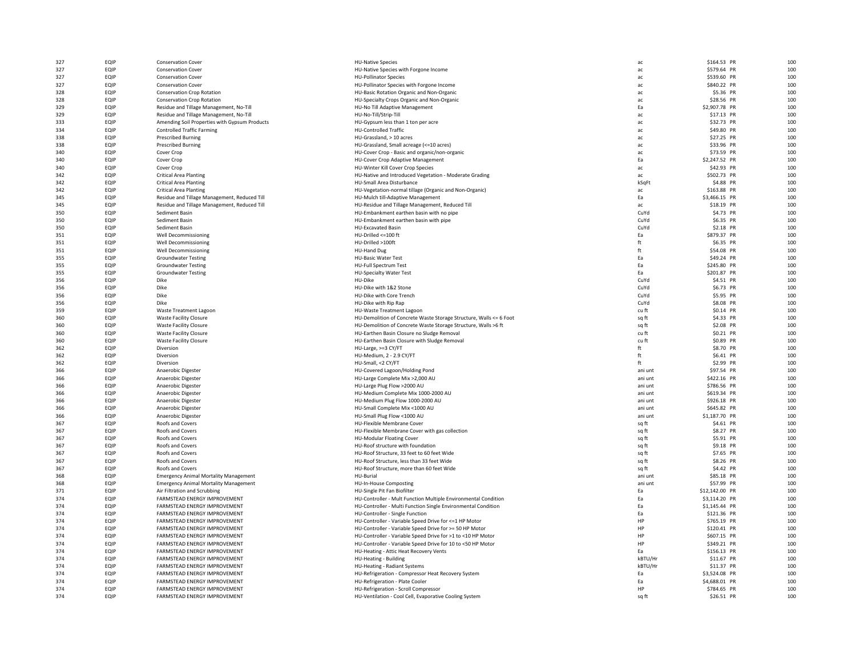| 327 | EQIP        | Conservation Cover                            | <b>HU-Native Species</b>                                           | ac      | \$164.53 PR    | 100 |
|-----|-------------|-----------------------------------------------|--------------------------------------------------------------------|---------|----------------|-----|
| 327 | EQIP        | Conservation Cover                            | HU-Native Species with Forgone Income                              | ac      | \$579.64 PR    | 100 |
| 327 | EQIP        | <b>Conservation Cover</b>                     | <b>HU-Pollinator Species</b>                                       | ac.     | \$539.60 PR    | 100 |
| 327 | EQIP        | <b>Conservation Cover</b>                     | HU-Pollinator Species with Forgone Income                          | ac.     | \$840.22 PR    | 100 |
| 328 | EQIP        | <b>Conservation Crop Rotation</b>             | HU-Basic Rotation Organic and Non-Organic                          | ac      | \$5.36 PR      | 100 |
| 328 | EQIP        | <b>Conservation Crop Rotation</b>             | HU-Specialty Crops Organic and Non-Organic                         | ac      | \$28.56 PR     | 100 |
| 329 | EQIP        | Residue and Tillage Management, No-Till       | HU-No Till Adaptive Management                                     | Ea      | \$2,907.78 PR  | 100 |
| 329 | EQIP        | Residue and Tillage Management, No-Till       | HU-No-Till/Strip-Till                                              | ac      | \$17.13 PR     | 100 |
| 333 | EQIP        | Amending Soil Properties with Gypsum Products | HU-Gypsum less than 1 ton per acre                                 | ac      | \$32.73 PR     | 100 |
| 334 | EQIP        | <b>Controlled Traffic Farming</b>             | <b>HU-Controlled Traffic</b>                                       | ac      | \$49.80 PR     | 100 |
| 338 | EQIP        | <b>Prescribed Burning</b>                     | HU-Grassland, > 10 acres                                           | ac.     | \$27.25 PR     | 100 |
| 338 | EQIP        | <b>Prescribed Burning</b>                     | HU-Grassland, Small acreage (<= 10 acres)                          | ac      | \$33.96 PR     | 100 |
| 340 | EQIP        | Cover Crop                                    | HU-Cover Crop - Basic and organic/non-organic                      | ac      | \$73.59 PR     | 100 |
| 340 | EQIP        | Cover Crop                                    | HU-Cover Crop Adaptive Management                                  | Ea      | \$2,247.52 PR  | 100 |
| 340 | EQIP        | Cover Crop                                    | HU-Winter Kill Cover Crop Species                                  | ac      | \$42.93 PR     | 100 |
| 342 | EQIP        | <b>Critical Area Planting</b>                 | HU-Native and Introduced Vegetation - Moderate Grading             | ac      | \$502.73 PR    | 100 |
| 342 | EQIP        | <b>Critical Area Planting</b>                 | HU-Small Area Disturbance                                          | kSqFt   | \$4.88 PR      | 100 |
| 342 | EQIP        | <b>Critical Area Planting</b>                 | HU-Vegetation-normal tillage (Organic and Non-Organic)             | ac      | \$163.88 PR    | 100 |
| 345 | EQIP        | Residue and Tillage Management, Reduced Till  | HU-Mulch till-Adaptive Management                                  | Ea      | \$3,466.15 PR  | 100 |
| 345 | EQIP        | Residue and Tillage Management, Reduced Till  | HU-Residue and Tillage Management, Reduced Till                    | ac      | \$18.19 PR     | 100 |
| 350 | EQIP        | Sediment Basin                                | HU-Embankment earthen basin with no pipe                           | CuYd    | \$4.73 PR      | 100 |
| 350 | EQIP        | Sediment Basin                                | HU-Embankment earthen basin with pipe                              | CuYd    | \$6.35 PR      | 100 |
| 350 | EQIP        | Sediment Basin                                | <b>HU-Excavated Basin</b>                                          | CuYd    | \$2.18 PR      | 100 |
| 351 | EQIP        | Well Decommissioning                          | HU-Drilled <= 100 ft                                               | Ea      | \$879.37 PR    | 100 |
| 351 | EQIP        | Well Decommissioning                          | HU-Drilled >100ft                                                  | ft      | \$6.35 PR      | 100 |
| 351 | EQIP        | Well Decommissioning                          |                                                                    | ft      | \$54.08 PR     | 100 |
|     |             |                                               | <b>HU-Hand Dug</b>                                                 |         |                |     |
| 355 | EQIP        | <b>Groundwater Testing</b>                    | <b>HU-Basic Water Test</b>                                         | Ea      | \$49.24 PR     | 100 |
| 355 | EQIP        | <b>Groundwater Testing</b>                    | <b>HU-Full Spectrum Test</b>                                       | Ea      | \$245.80 PR    | 100 |
| 355 | EQIP        | <b>Groundwater Testing</b>                    | <b>HU-Specialty Water Test</b>                                     | Ea      | \$201.87 PR    | 100 |
| 356 | EQIP        | Dike                                          | HU-Dike                                                            | CuYd    | \$4.51 PR      | 100 |
| 356 | EQIP        | Dike                                          | HU-Dike with 1&2 Stone                                             | CuYd    | \$6.73 PR      | 100 |
| 356 | EQIP        | Dike                                          | HU-Dike with Core Trench                                           | CuYd    | \$5.95 PR      | 100 |
| 356 | EQIP        | Dike                                          | HU-Dike with Rip Rap                                               | CuYd    | \$8.08 PR      | 100 |
| 359 | EQIP        | Waste Treatment Lagoon                        | HU-Waste Treatment Lagoon                                          | cu ft   | \$0.14 PR      | 100 |
| 360 | EQIP        | <b>Waste Facility Closure</b>                 | HU-Demolition of Concrete Waste Storage Structure, Walls <= 6 Foot | sq ft   | \$4.33 PR      | 100 |
| 360 | EQIP        | <b>Waste Facility Closure</b>                 | HU-Demolition of Concrete Waste Storage Structure, Walls >6 ft     | sq ft   | \$2.08 PR      | 100 |
| 360 | EQIP        | <b>Waste Facility Closure</b>                 | HU-Earthen Basin Closure no Sludge Removal                         | cu ft   | \$0.21 PR      | 100 |
| 360 | EQIP        | <b>Waste Facility Closure</b>                 | HU-Earthen Basin Closure with Sludge Removal                       | cu ft   | \$0.89 PR      | 100 |
| 362 | EQIP        | Diversion                                     | HU-Large, >=3 CY/FT                                                | ft      | \$8.70 PR      | 100 |
| 362 | EQIP        | Diversion                                     | HU-Medium, 2 - 2.9 CY/FT                                           | ft      | \$6.41 PR      | 100 |
| 362 | EQIP        | Diversion                                     | HU-Small, <2 CY/FT                                                 | ft      | \$2.99 PR      | 100 |
| 366 | EQIP        | Anaerobic Digester                            | HU-Covered Lagoon/Holding Pond                                     | ani unt | \$97.54 PR     | 100 |
| 366 | EQIP        | Anaerobic Digester                            | HU-Large Complete Mix >2,000 AU                                    | ani unt | \$422.16 PR    | 100 |
| 366 | EQIP        | Anaerobic Digester                            | HU-Large Plug Flow >2000 AU                                        | ani unt | \$786.56 PR    | 100 |
| 366 | EQIP        | Anaerobic Digester                            | HU-Medium Complete Mix 1000-2000 AU                                | ani unt | \$619.34 PR    | 100 |
| 366 | EQIP        | Anaerobic Digester                            | HU-Medium Plug Flow 1000-2000 AU                                   | ani unt | \$926.18 PR    | 100 |
| 366 | EQIP        | Anaerobic Digester                            | HU-Small Complete Mix <1000 AU                                     | ani unt | \$645.82 PR    | 100 |
| 366 | EQIP        | Anaerobic Digester                            | HU-Small Plug Flow <1000 AU                                        | ani unt | \$1,187.70 PR  | 100 |
| 367 | EQIP        | Roofs and Covers                              | HU-Flexible Membrane Cover                                         | sq ft   | \$4.61 PR      | 100 |
| 367 | EQIP        | Roofs and Covers                              | HU-Flexible Membrane Cover with gas collection                     | sq ft   | \$8.27 PR      | 100 |
| 367 | EQIP        | Roofs and Covers                              | <b>HU-Modular Floating Cover</b>                                   | sq ft   | \$5.91 PR      | 100 |
| 367 | EQIP        | Roofs and Covers                              | HU-Roof structure with foundation                                  | sq ft   | \$9.18 PR      | 100 |
| 367 | EQIP        | Roofs and Covers                              | HU-Roof Structure, 33 feet to 60 feet Wide                         | sq ft   | \$7.65 PR      | 100 |
| 367 | EQIP        | <b>Roofs and Covers</b>                       | HU-Roof Structure, less than 33 feet Wide                          | sq ft   | \$8.26 PR      | 100 |
| 367 | EQIP        | Roofs and Covers                              | HU-Roof Structure, more than 60 feet Wide                          | sq ft   | \$4.42 PR      | 100 |
| 368 | EQIP        | <b>Emergency Animal Mortality Management</b>  | HU-Burial                                                          | ani unt | \$85.18 PR     | 100 |
| 368 | EQIP        | <b>Emergency Animal Mortality Management</b>  | <b>HU-In-House Composting</b>                                      | ani unt | \$57.99 PR     | 100 |
| 371 | EQIP        | Air Filtration and Scrubbing                  | HU-Single Pit Fan Biofilter                                        | Ea      | \$12,142.00 PR | 100 |
| 374 | EQIP        | <b>FARMSTEAD ENERGY IMPROVEMENT</b>           | HU-Controller - Mult Function Multiple Environmental Condition     | Ea      | \$3,114.20 PR  | 100 |
| 374 | EQIP        | <b>FARMSTEAD ENERGY IMPROVEMENT</b>           | HU-Controller - Multi Function Single Environmental Condition      | Ea      | \$1,145.44 PR  | 100 |
|     | EQIP        | FARMSTEAD ENERGY IMPROVEMENT                  | HU-Controller - Single Function                                    | Ea      | \$121.36 PR    | 100 |
| 374 |             |                                               |                                                                    |         |                |     |
| 374 | EQIP        | FARMSTEAD ENERGY IMPROVEMENT                  | HU-Controller - Variable Speed Drive for <= 1 HP Motor             | HP      | \$765.19 PR    | 100 |
| 374 | EQIP        | FARMSTEAD ENERGY IMPROVEMENT                  | HU-Controller - Variable Speed Drive for >= 50 HP Motor            | HP      | \$120.41 PR    | 100 |
| 374 | EQIP        | FARMSTEAD ENERGY IMPROVEMENT                  | HU-Controller - Variable Speed Drive for >1 to <10 HP Motor        | HP      | \$607.15 PR    | 100 |
| 374 | EQIP        | FARMSTEAD ENERGY IMPROVEMENT                  | HU-Controller - Variable Speed Drive for 10 to <50 HP Motor        | HP      | \$349.21 PR    | 100 |
| 374 | EQIP        | <b>FARMSTEAD ENERGY IMPROVEMENT</b>           | HU-Heating - Attic Heat Recovery Vents                             | Fa      | \$156.13 PR    | 100 |
| 374 | <b>FOIP</b> | FARMSTEAD ENERGY IMPROVEMENT                  | HU-Heating - Building                                              | kBTU/Hr | \$11.67 PR     | 100 |
| 374 | EQIP        | FARMSTEAD ENERGY IMPROVEMENT                  | HU-Heating - Radiant Systems                                       | kBTU/Hr | \$11.37 PR     | 100 |
| 374 | EQIP        | FARMSTEAD ENERGY IMPROVEMENT                  | HU-Refrigeration - Compressor Heat Recovery System                 | Ea      | \$3,524.08 PR  | 100 |
| 374 | EQIP        | FARMSTEAD ENERGY IMPROVEMENT                  | HU-Refrigeration - Plate Cooler                                    | Ea      | \$4,688.01 PR  | 100 |
| 374 | EQIP        | FARMSTEAD ENERGY IMPROVEMENT                  | HU-Refrigeration - Scroll Compressor                               | HP      | \$784.65 PR    | 100 |
| 374 | EQIP        | FARMSTEAD ENERGY IMPROVEMENT                  | HU-Ventilation - Cool Cell, Evaporative Cooling System             | sa ft   | \$26.51 PR     | 100 |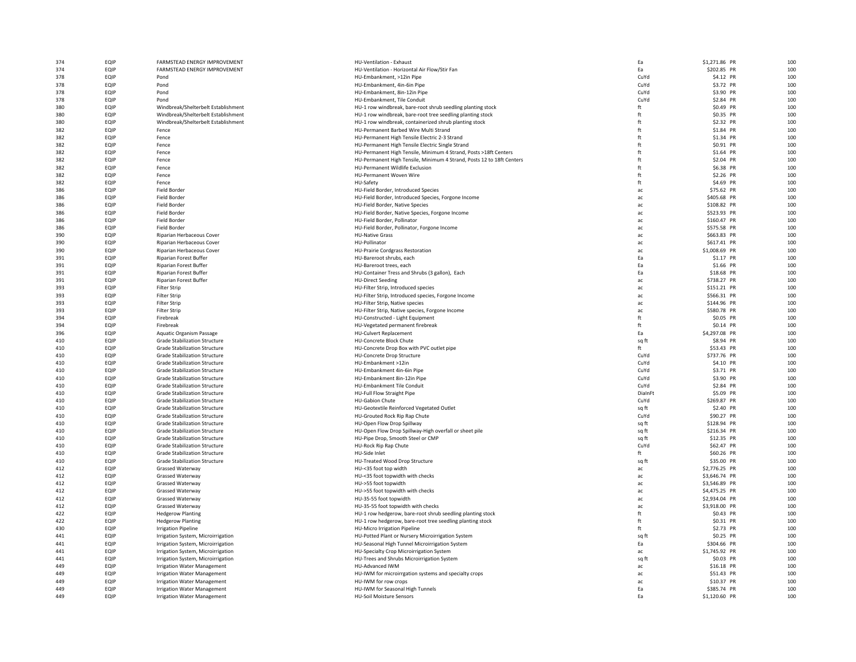| 374 | EQIP | FARMSTEAD ENERGY IMPROVEMENT         | HU-Ventilation - Exhaust                                              | Ea      | \$1,271.86 PR | 100 |
|-----|------|--------------------------------------|-----------------------------------------------------------------------|---------|---------------|-----|
| 374 | EQIP | FARMSTEAD ENERGY IMPROVEMENT         | HU-Ventilation - Horizontal Air Flow/Stir Fan                         | Ea      | \$202.85 PR   | 100 |
| 378 | EQIP | Pond                                 | HU-Embankment, >12in Pipe                                             | CuYd    | \$4.12 PR     | 100 |
| 378 | EQIP | Pond                                 | HU-Embankment, 4in-6in Pipe                                           | CuYd    | \$3.72 PR     | 100 |
|     |      |                                      |                                                                       |         |               |     |
| 378 | EQIP | Pond                                 | HU-Embankment, 8in-12in Pipe                                          | CuYd    | \$3.90 PR     | 100 |
| 378 | EQIP | Pond                                 | HU-Embankment, Tile Conduit                                           | CuYd    | \$2.84 PR     | 100 |
| 380 | EQIP | Windbreak/Shelterbelt Establishment  | HU-1 row windbreak, bare-root shrub seedling planting stock           | ft      | \$0.49 PR     | 100 |
| 380 | EQIP | Windbreak/Shelterbelt Establishment  | HU-1 row windbreak, bare-root tree seedling planting stock            | ft      | \$0.35 PR     | 100 |
| 380 | EQIP | Windbreak/Shelterbelt Establishment  | HU-1 row windbreak, containerized shrub planting stock                | ft      | \$2.32 PR     | 100 |
| 382 | EQIP | Fence                                | HU-Permanent Barbed Wire Multi Strand                                 | ft      | \$1.84 PR     | 100 |
|     |      |                                      |                                                                       |         |               |     |
| 382 | EQIP | Fence                                | HU-Permanent High Tensile Electric 2-3 Strand                         | ft      | \$1.34 PR     | 100 |
| 382 | EQIP | Fence                                | HU-Permanent High Tensile Electric Single Strand                      | ft      | \$0.91 PR     | 100 |
| 382 | EQIP | Fence                                | HU-Permanent High Tensile, Minimum 4 Strand, Posts >18ft Centers      | ft      | \$1.64 PR     | 100 |
| 382 | EQIP | Fence                                | HU-Permanent High Tensile, Minimum 4 Strand, Posts 12 to 18ft Centers | ft      | \$2.04 PR     | 100 |
| 382 | EQIP | Fence                                | HU-Permanent Wildlife Exclusion                                       | ft      | \$6.38 PR     | 100 |
|     |      |                                      |                                                                       |         |               |     |
| 382 | EQIP | Fence                                | HU-Permanent Woven Wire                                               | ft      | \$2.26 PR     | 100 |
| 382 | EQIP | Fence                                | HU-Safety                                                             | ft      | \$4.69 PR     | 100 |
| 386 | EQIP | Field Border                         | HU-Field Border, Introduced Species                                   | ac      | \$75.62 PR    | 100 |
| 386 | EQIP | Field Border                         | HU-Field Border, Introduced Species, Forgone Income                   | ac      | \$405.68 PR   | 100 |
| 386 | EQIP | Field Border                         | HU-Field Border, Native Species                                       | ac      | \$108.82 PR   | 100 |
|     |      |                                      |                                                                       |         |               |     |
| 386 | EQIP | Field Border                         | HU-Field Border, Native Species, Forgone Income                       | ac      | \$523.93 PR   | 100 |
| 386 | EQIP | Field Border                         | HU-Field Border, Pollinator                                           | ac      | \$160.47 PR   | 100 |
| 386 | EQIP | Field Border                         | HU-Field Border, Pollinator, Forgone Income                           | ac      | \$575.58 PR   | 100 |
| 390 | EQIP | Riparian Herbaceous Cover            | <b>HU-Native Grass</b>                                                | ac      | \$663.83 PR   | 100 |
| 390 | EQIP | Riparian Herbaceous Cover            | HU-Pollinator                                                         | ac      | \$617.41 PR   | 100 |
| 390 | EQIP | Riparian Herbaceous Cover            | HU-Prairie Cordgrass Restoration                                      | ac      | \$1,008.69 PR | 100 |
|     |      |                                      |                                                                       |         |               |     |
| 391 | EQIP | <b>Riparian Forest Buffer</b>        | HU-Bareroot shrubs, each                                              | Ea      | \$1.17 PR     | 100 |
| 391 | EQIP | <b>Riparian Forest Buffer</b>        | HU-Bareroot trees, each                                               | Ea      | \$1.66 PR     | 100 |
| 391 | EQIP | <b>Riparian Forest Buffer</b>        | HU-Container Tress and Shrubs (3 gallon), Each                        | Ea      | \$18.68 PR    | 100 |
| 391 | EQIP | Riparian Forest Buffer               | <b>HU-Direct Seeding</b>                                              | ac      | \$738.27 PR   | 100 |
| 393 | EQIP | <b>Filter Strip</b>                  | HU-Filter Strip, Introduced species                                   | ac      | \$151.21 PR   | 100 |
|     |      |                                      |                                                                       |         |               | 100 |
| 393 | EQIP | <b>Filter Strip</b>                  | HU-Filter Strip, Introduced species, Forgone Income                   | ac      | \$566.31 PR   |     |
| 393 | EQIP | <b>Filter Strip</b>                  | HU-Filter Strip, Native species                                       | ac      | \$144.96 PR   | 100 |
| 393 | EQIP | <b>Filter Strip</b>                  | HU-Filter Strip, Native species, Forgone Income                       | ac      | \$580.78 PR   | 100 |
| 394 | EQIP | Firebreak                            | HU-Constructed - Light Equipment                                      | ft      | \$0.05 PR     | 100 |
| 394 | EQIP | Firebreak                            | HU-Vegetated permanent firebreak                                      | ft      | \$0.14 PR     | 100 |
| 396 | EQIP |                                      | <b>HU-Culvert Replacement</b>                                         | Ea      | \$4,297.08 PR | 100 |
|     |      | Aquatic Organism Passage             |                                                                       |         |               |     |
| 410 | EQIP | <b>Grade Stabilization Structure</b> | HU-Concrete Block Chute                                               | sq ft   | \$8.94 PR     | 100 |
| 410 | EQIP | <b>Grade Stabilization Structure</b> | HU-Concrete Drop Box with PVC outlet pipe                             | ft      | \$53.43 PR    | 100 |
| 410 | EQIP | <b>Grade Stabilization Structure</b> | HU-Concrete Drop Structure                                            | CuYd    | \$737.76 PR   | 100 |
| 410 | EQIP | <b>Grade Stabilization Structure</b> | HU-Embankment >12in                                                   | CuYd    | \$4.10 PR     | 100 |
| 410 | EQIP | <b>Grade Stabilization Structure</b> | HU-Embankment 4in-6in Pipe                                            | CuYd    | \$3.71 PR     | 100 |
|     | EQIP | <b>Grade Stabilization Structure</b> |                                                                       |         |               | 100 |
| 410 |      |                                      | HU-Embankment 8in-12in Pipe                                           | CuYd    | \$3.90 PR     |     |
| 410 | EQIP | <b>Grade Stabilization Structure</b> | HU-Embankment Tile Conduit                                            | CuYd    | \$2.84 PR     | 100 |
| 410 | EQIP | <b>Grade Stabilization Structure</b> | HU-Full Flow Straight Pipe                                            | DialnFt | \$5.09 PR     | 100 |
| 410 | EQIP | <b>Grade Stabilization Structure</b> | <b>HU-Gabion Chute</b>                                                | CuYd    | \$269.87 PR   | 100 |
| 410 | EQIP | <b>Grade Stabilization Structure</b> | HU-Geotextile Reinforced Vegetated Outlet                             | sq ft   | \$2.40 PR     | 100 |
| 410 | EQIP | <b>Grade Stabilization Structure</b> | HU-Grouted Rock Rip Rap Chute                                         | CuYd    | \$90.27 PR    | 100 |
|     |      |                                      |                                                                       |         |               |     |
| 410 | EQIP | <b>Grade Stabilization Structure</b> | HU-Open Flow Drop Spillway                                            | sq ft   | \$128.94 PR   | 100 |
| 410 | EQIP | <b>Grade Stabilization Structure</b> | HU-Open Flow Drop Spillway-High overfall or sheet pile                | sq ft   | \$216.34 PR   | 100 |
| 410 | EQIP | <b>Grade Stabilization Structure</b> | HU-Pipe Drop, Smooth Steel or CMP                                     | sq ft   | \$12.35 PR    | 100 |
| 410 | EQIP | <b>Grade Stabilization Structure</b> | HU-Rock Rip Rap Chute                                                 | CuYd    | \$62.47 PR    | 100 |
| 410 | EQIP | <b>Grade Stabilization Structure</b> | HU-Side Inlet                                                         | ft      | \$60.26 PR    | 100 |
| 410 | EQIP | <b>Grade Stabilization Structure</b> | HU-Treated Wood Drop Structure                                        | sq ft   | \$35.00 PR    | 100 |
|     |      |                                      |                                                                       |         |               |     |
| 412 | EQIP | Grassed Waterway                     | HU-<35 foot top width                                                 | ac      | \$2,776.25 PR | 100 |
| 412 | EQIP | Grassed Waterway                     | HU-<35 foot topwidth with checks                                      | ac      | \$3,646.74 PR | 100 |
| 412 | EQIP | Grassed Waterway                     | HU->55 foot topwidth                                                  | ac      | \$3,546.89 PR | 100 |
| 412 | EQIP | Grassed Waterway                     | HU->55 foot topwidth with checks                                      | ac      | \$4,475.25 PR | 100 |
| 412 | EQIP | Grassed Waterway                     | HU-35-55 foot topwidth                                                | ac      | \$2,934.04 PR | 100 |
|     |      |                                      |                                                                       |         |               |     |
| 412 | EQIP | Grassed Waterway                     | HU-35-55 foot topwidth with checks                                    | ac      | \$3,918.00 PR | 100 |
| 422 | EQIP | <b>Hedgerow Planting</b>             | HU-1 row hedgerow, bare-root shrub seedling planting stock            | ft      | \$0.43 PR     | 100 |
| 422 | EQIP | <b>Hedgerow Planting</b>             | HU-1 row hedgerow, bare-root tree seedling planting stock             | ft      | \$0.31 PR     | 100 |
| 430 | EQIP | <b>Irrigation Pipeline</b>           | HU-Micro Irrigation Pipeline                                          | ft      | \$2.73 PR     | 100 |
| 441 | EQIP | Irrigation System, Microirrigation   | HU-Potted Plant or Nursery Microirrigation System                     | sq ft   | \$0.25 PR     | 100 |
|     |      |                                      |                                                                       |         |               |     |
| 441 | EQIP | Irrigation System, Microirrigation   | HU-Seasonal High Tunnel Microirrigation System                        | Ea      | \$304.66 PR   | 100 |
| 441 | EQIP | Irrigation System, Microirrigation   | HU-Specialty Crop Microirrigation System                              | ac      | \$1,745.92 PR | 100 |
| 441 | EQIP | Irrigation System, Microirrigation   | HU-Trees and Shrubs Microirrigation System                            | sq ft   | \$0.03 PR     | 100 |
| 449 | EQIP | <b>Irrigation Water Management</b>   | <b>HU-Advanced IWM</b>                                                | ac      | \$16.18 PR    | 100 |
| 449 | EQIP | <b>Irrigation Water Management</b>   | HU-IWM for microirrgation systems and specialty crops                 | ac      | \$51.43 PR    | 100 |
| 449 | EQIP |                                      | HU-IWM for row crops                                                  |         | \$10.37 PR    | 100 |
|     |      | <b>Irrigation Water Management</b>   |                                                                       | ac      |               |     |
| 449 | EQIP | <b>Irrigation Water Management</b>   | HU-IWM for Seasonal High Tunnels                                      | Ea      | \$385.74 PR   | 100 |
| 449 | EQIP | <b>Irrigation Water Management</b>   | <b>HU-Soil Moisture Sensors</b>                                       | Fa      | \$1,120.60 PR | 100 |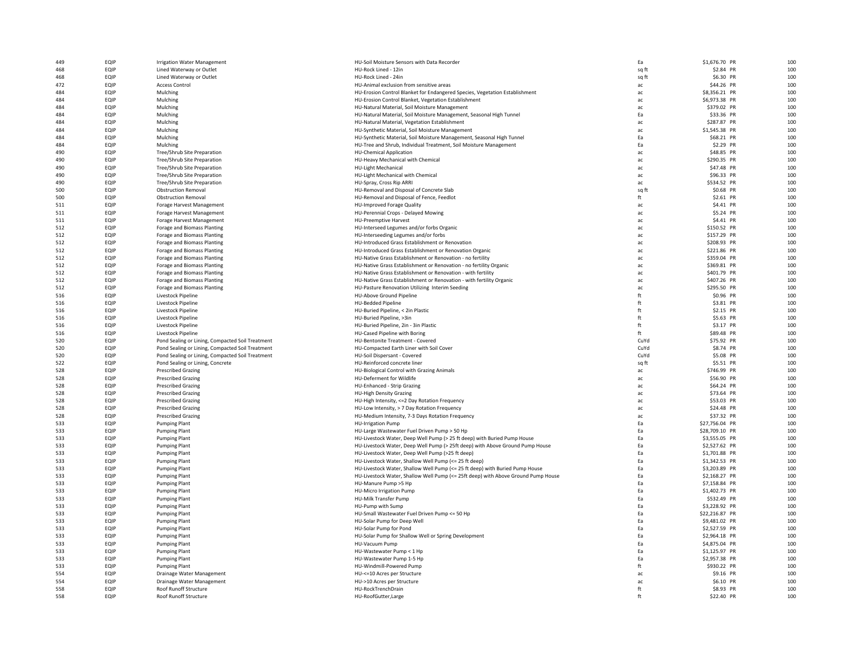| 449 | EQIP | <b>Irrigation Water Management</b>               | HU-Soil Moisture Sensors with Data Recorder                                       | Ea    | \$1,676.70 PR  | 100 |
|-----|------|--------------------------------------------------|-----------------------------------------------------------------------------------|-------|----------------|-----|
| 468 | EQIP | Lined Waterway or Outlet                         | HU-Rock Lined - 12in                                                              | sq ft | \$2.84 PR      | 100 |
| 468 | EQIP | Lined Waterway or Outlet                         | HU-Rock Lined - 24in                                                              | sq ft | \$6.30 PR      | 100 |
| 472 | EQIP | <b>Access Control</b>                            | HU-Animal exclusion from sensitive areas                                          | ac    | \$44.26 PR     | 100 |
| 484 | EQIP | Mulching                                         | HU-Erosion Control Blanket for Endangered Species, Vegetation Establishment       | ac    | \$8,356.21 PR  | 100 |
| 484 | EQIP | Mulching                                         | HU-Erosion Control Blanket, Vegetation Establishment                              | ac    | \$6,973.38 PR  | 100 |
| 484 | EQIP | Mulching                                         | HU-Natural Material, Soil Moisture Management                                     | ac    | \$379.02 PR    | 100 |
| 484 | EQIP | Mulching                                         | HU-Natural Material, Soil Moisture Management, Seasonal High Tunnel               | Ea    | \$33.36 PR     | 100 |
| 484 | EQIP | Mulching                                         | HU-Natural Material, Vegetation Establishment                                     | ac    | \$287.87 PR    | 100 |
| 484 | EQIP | Mulching                                         | HU-Synthetic Material, Soil Moisture Management                                   | ac    | \$1,545.38 PR  | 100 |
| 484 | EQIP | Mulching                                         | HU-Synthetic Material, Soil Moisture Management, Seasonal High Tunnel             | Ea    | \$68.21 PR     | 100 |
| 484 | EQIP | Mulching                                         | HU-Tree and Shrub, Individual Treatment, Soil Moisture Management                 | Ea    | \$2.29 PR      | 100 |
| 490 | EQIP | Tree/Shrub Site Preparation                      | <b>HU-Chemical Application</b>                                                    | ac    | \$48.85 PR     | 100 |
| 490 | EQIP | Tree/Shrub Site Preparation                      | HU-Heavy Mechanical with Chemical                                                 | ac    | \$290.35 PR    | 100 |
| 490 | EQIP | Tree/Shrub Site Preparation                      | <b>HU-Light Mechanical</b>                                                        | ac    | \$47.48 PR     | 100 |
|     |      |                                                  |                                                                                   |       |                |     |
| 490 | EQIP | Tree/Shrub Site Preparation                      | HU-Light Mechanical with Chemical                                                 | ac    | \$96.33 PR     | 100 |
| 490 | EQIP | Tree/Shrub Site Preparation                      | HU-Spray, Cross Rip ARRI                                                          | ac    | \$534.52 PR    | 100 |
| 500 | EQIP | <b>Obstruction Removal</b>                       | HU-Removal and Disposal of Concrete Slab                                          | sq ft | \$0.68 PR      | 100 |
| 500 | EQIP | <b>Obstruction Removal</b>                       | HU-Removal and Disposal of Fence, Feedlot                                         | ft    | \$2.61 PR      | 100 |
| 511 | EQIP | Forage Harvest Management                        | HU-Improved Forage Quality                                                        | ac    | \$4.41 PR      | 100 |
| 511 | EQIP | Forage Harvest Management                        | HU-Perennial Crops - Delayed Mowing                                               | ac    | \$5.24 PR      | 100 |
| 511 | EQIP | Forage Harvest Management                        | <b>HU-Preemptive Harvest</b>                                                      | ac    | \$4.41 PR      | 100 |
| 512 | EQIP | Forage and Biomass Planting                      | HU-Interseed Legumes and/or forbs Organic                                         | ac    | \$150.52 PR    | 100 |
| 512 | EQIP | Forage and Biomass Planting                      | HU-Interseeding Legumes and/or forbs                                              | ac    | \$157.29 PR    | 100 |
| 512 | EQIP | Forage and Biomass Planting                      | HU-Introduced Grass Establishment or Renovation                                   | ac    | \$208.93 PR    | 100 |
| 512 | EQIP | Forage and Biomass Planting                      | HU-Introduced Grass Establishment or Renovation Organic                           | ac    | \$221.86 PR    | 100 |
| 512 | EQIP | Forage and Biomass Planting                      | HU-Native Grass Establishment or Renovation - no fertility                        | ac    | \$359.04 PR    | 100 |
| 512 | EQIP | Forage and Biomass Planting                      | HU-Native Grass Establishment or Renovation - no fertility Organic                | ac    | \$369.81 PR    | 100 |
| 512 | EQIP | Forage and Biomass Planting                      | HU-Native Grass Establishment or Renovation - with fertility                      | ac    | \$401.79 PR    | 100 |
| 512 | EQIP | Forage and Biomass Planting                      | HU-Native Grass Establishment or Renovation - with fertility Organic              | ac    | \$407.26 PR    | 100 |
| 512 | EQIP | Forage and Biomass Planting                      | HU-Pasture Renovation Utilizing Interim Seeding                                   | ac    | \$295.50 PR    | 100 |
| 516 | EQIP | Livestock Pipeline                               | HU-Above Ground Pipeline                                                          | ft    | \$0.96 PR      | 100 |
| 516 | EQIP | Livestock Pipeline                               | <b>HU-Bedded Pipeline</b>                                                         | ft    | \$3.81 PR      | 100 |
| 516 | EQIP | Livestock Pipeline                               | HU-Buried Pipeline, < 2in Plastic                                                 | ft    | \$2.15 PR      | 100 |
| 516 | EQIP | Livestock Pipeline                               | HU-Buried Pipeline, >3in                                                          | ft    | \$5.63 PR      | 100 |
| 516 | EQIP | Livestock Pipeline                               | HU-Buried Pipeline, 2in - 3in Plastic                                             | ft    | \$3.17 PR      | 100 |
| 516 | EQIP | Livestock Pipeline                               | HU-Cased Pipeline with Boring                                                     | ft    | \$89.48 PR     | 100 |
| 520 | EQIP | Pond Sealing or Lining, Compacted Soil Treatment | HU-Bentonite Treatment - Covered                                                  | CuYd  | \$75.92 PR     | 100 |
|     |      |                                                  |                                                                                   |       |                |     |
| 520 | EQIP | Pond Sealing or Lining, Compacted Soil Treatment | HU-Compacted Earth Liner with Soil Cover                                          | CuYd  | \$8.74 PR      | 100 |
| 520 | EQIP | Pond Sealing or Lining, Compacted Soil Treatment | HU-Soil Dispersant - Covered                                                      | CuYd  | \$5.08 PR      | 100 |
| 522 | EQIP | Pond Sealing or Lining, Concrete                 | HU-Reinforced concrete liner                                                      | sq ft | \$5.51 PR      | 100 |
| 528 | EQIP | <b>Prescribed Grazing</b>                        | HU-Biological Control with Grazing Animals                                        | ac    | \$746.99 PR    | 100 |
| 528 | EQIP | <b>Prescribed Grazing</b>                        | HU-Deferment for Wildlife                                                         | ac    | \$56.90 PR     | 100 |
| 528 | EQIP | <b>Prescribed Grazing</b>                        | HU-Enhanced - Strip Grazing                                                       | ac    | \$64.24 PR     | 100 |
| 528 | EQIP | <b>Prescribed Grazing</b>                        | <b>HU-High Density Grazing</b>                                                    | ac    | \$73.64 PR     | 100 |
| 528 | EQIP | <b>Prescribed Grazing</b>                        | HU-High Intensity, <= 2 Day Rotation Frequency                                    | ac    | \$53.03 PR     | 100 |
| 528 | EQIP | <b>Prescribed Grazing</b>                        | HU-Low Intensity, > 7 Day Rotation Frequency                                      | ac    | \$24.48 PR     | 100 |
| 528 | EQIP | <b>Prescribed Grazing</b>                        | HU-Medium Intensity, 7-3 Days Rotation Frequency                                  | ac    | \$37.32 PR     | 100 |
| 533 | EQIP | <b>Pumping Plant</b>                             | <b>HU-Irrigation Pump</b>                                                         | Ea    | \$27,756.04 PR | 100 |
| 533 | EQIP | <b>Pumping Plant</b>                             | HU-Large Wastewater Fuel Driven Pump > 50 Hp                                      | Ea    | \$28,709.10 PR | 100 |
| 533 | EQIP | <b>Pumping Plant</b>                             | HU-Livestock Water, Deep Well Pump (> 25 ft deep) with Buried Pump House          | Ea    | \$3,555.05 PR  | 100 |
| 533 | EQIP | <b>Pumping Plant</b>                             | HU-Livestock Water, Deep Well Pump (> 25ft deep) with Above Ground Pump House     | Ea    | \$2,527.62 PR  | 100 |
| 533 | EQIP | <b>Pumping Plant</b>                             | HU-Livestock Water, Deep Well Pump (>25 ft deep)                                  | Ea    | \$1,701.88 PR  | 100 |
| 533 | EQIP | <b>Pumping Plant</b>                             | HU-Livestock Water, Shallow Well Pump (<= 25 ft deep)                             | Ea    | \$1,342.53 PR  | 100 |
| 533 | EQIP | <b>Pumping Plant</b>                             | HU-Livestock Water, Shallow Well Pump (<= 25 ft deep) with Buried Pump House      | Ea    | \$3,203,89 PR  | 100 |
| 533 | EQIP | <b>Pumping Plant</b>                             | HU-Livestock Water, Shallow Well Pump (<= 25ft deep) with Above Ground Pump House | Ea    | \$2,168.27 PR  | 100 |
| 533 | EQIP | <b>Pumping Plant</b>                             | HU-Manure Pump >5 Hp                                                              | Ea    | \$7,158.84 PR  | 100 |
| 533 | EQIP | <b>Pumping Plant</b>                             | HU-Micro Irrigation Pump                                                          | Ea    | \$1,402.73 PR  | 100 |
| 533 | EQIP | <b>Pumping Plant</b>                             | <b>HU-Milk Transfer Pump</b>                                                      | Ea    | \$532.49 PR    | 100 |
| 533 | EQIP | <b>Pumping Plant</b>                             | HU-Pump with Sump                                                                 | Ea    | \$3,228.92 PR  | 100 |
| 533 | EQIP | <b>Pumping Plant</b>                             | HU-Small Wastewater Fuel Driven Pump <= 50 Hp                                     | Ea    | \$22,216.87 PR | 100 |
| 533 | EQIP | <b>Pumping Plant</b>                             | HU-Solar Pump for Deep Well                                                       | Ea    | \$9,481.02 PR  | 100 |
| 533 | EQIP | <b>Pumping Plant</b>                             | HU-Solar Pump for Pond                                                            | Ea    | \$2,527.59 PR  | 100 |
| 533 | EQIP | <b>Pumping Plant</b>                             | HU-Solar Pump for Shallow Well or Spring Development                              | Ea    | \$2,964.18 PR  | 100 |
| 533 | EQIP | <b>Pumping Plant</b>                             | HU-Vacuum Pump                                                                    | Ea    | \$4,875.04 PR  | 100 |
| 533 | EQIP | <b>Pumping Plant</b>                             | HU-Wastewater Pump < 1 Hp                                                         | Ea    | \$1,125.97 PR  | 100 |
| 533 | EQIP | <b>Pumping Plant</b>                             | HU-Wastewater Pump 1-5 Hp                                                         | Ea    | \$2,957.38 PR  | 100 |
| 533 | EQIP | <b>Pumping Plant</b>                             | HU-Windmill-Powered Pump                                                          | ft    | \$930.22 PR    | 100 |
| 554 | EQIP | Drainage Water Management                        | HU-<= 10 Acres per Structure                                                      | ac    | \$9.16 PR      | 100 |
| 554 | EQIP | Drainage Water Management                        | HU->10 Acres per Structure                                                        | ac    | \$6.10 PR      | 100 |
| 558 | EQIP | Roof Runoff Structure                            | HU-RockTrenchDrain                                                                | ft    | \$8.93 PR      | 100 |
| 558 | EQIP | Roof Runoff Structure                            | HU-RoofGutter,Large                                                               | ft    | \$22.40 PR     | 100 |
|     |      |                                                  |                                                                                   |       |                |     |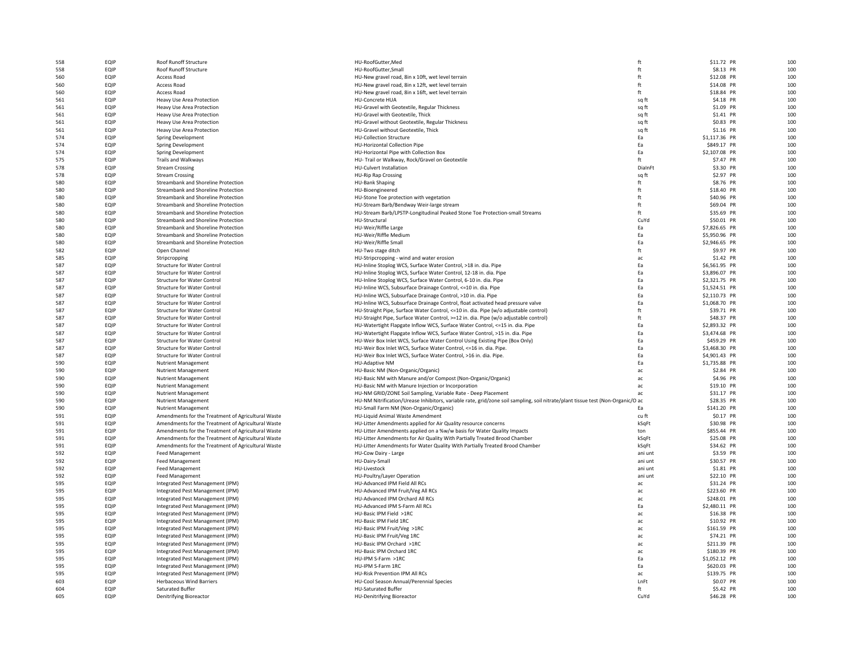| 558 | EQIP | Roof Runoff Structure                              | HU-RoofGutter, Med                                                                                                              | ft      | \$11.72 PR    | 100 |
|-----|------|----------------------------------------------------|---------------------------------------------------------------------------------------------------------------------------------|---------|---------------|-----|
| 558 | EQIP | Roof Runoff Structure                              | HU-RoofGutter.Small                                                                                                             | ft      | \$8.13 PR     | 100 |
| 560 | EQIP | <b>Access Road</b>                                 | HU-New gravel road, 8in x 10ft, wet level terrain                                                                               | ft      | \$12.08 PR    | 100 |
|     |      |                                                    |                                                                                                                                 |         |               | 100 |
| 560 | EQIP | Access Road                                        | HU-New gravel road, 8in x 12ft, wet level terrain                                                                               | ft      | \$14.08 PR    |     |
| 560 | EQIP | <b>Access Road</b>                                 | HU-New gravel road, 8in x 16ft, wet level terrain                                                                               | ft      | \$18.84 PR    | 100 |
| 561 | EQIP | Heavy Use Area Protection                          | <b>HU-Concrete HUA</b>                                                                                                          | sq ft   | \$4.18 PR     | 100 |
| 561 | EQIP | Heavy Use Area Protection                          | HU-Gravel with Geotextile, Regular Thickness                                                                                    | sa ft   | \$1.09 PR     | 100 |
| 561 | EQIP | Heavy Use Area Protection                          | HU-Gravel with Geotextile, Thick                                                                                                | sq ft   | \$1.41 PR     | 100 |
| 561 | EQIP | Heavy Use Area Protection                          | HU-Gravel without Geotextile, Regular Thickness                                                                                 | sg ft   | \$0.83 PR     | 100 |
| 561 | EQIP | Heavy Use Area Protection                          | HU-Gravel without Geotextile, Thick                                                                                             | sq ft   | \$1.16 PR     | 100 |
| 574 | EQIP | Spring Development                                 | <b>HU-Collection Structure</b>                                                                                                  | Ea      | \$1,117.36 PR | 100 |
| 574 | EQIP | Spring Development                                 | HU-Horizontal Collection Pipe                                                                                                   | Ea      | \$849.17 PR   | 100 |
| 574 | EQIP | Spring Development                                 | HU-Horizontal Pipe with Collection Box                                                                                          | Ea      | \$2,107.08 PR | 100 |
| 575 | EQIP | Trails and Walkways                                | HU-Trail or Walkway, Rock/Gravel on Geotextile                                                                                  | ft      | \$7.47 PR     | 100 |
| 578 | EQIP | <b>Stream Crossing</b>                             | HU-Culvert Installation                                                                                                         | DialnFt | \$3.30 PR     | 100 |
|     | EQIP | <b>Stream Crossing</b>                             | HU-Rip Rap Crossing                                                                                                             |         | \$2.97 PR     | 100 |
| 578 | EQIP |                                                    |                                                                                                                                 | sq ft   | \$8.76 PR     | 100 |
| 580 |      | Streambank and Shoreline Protection                | <b>HU-Bank Shaping</b>                                                                                                          | ft      |               |     |
| 580 | EQIP | Streambank and Shoreline Protection                | HU-Bioengineered                                                                                                                | ft      | \$18.40 PR    | 100 |
| 580 | EQIP | Streambank and Shoreline Protection                | HU-Stone Toe protection with vegetation                                                                                         | ft      | \$40.96 PR    | 100 |
| 580 | EQIP | Streambank and Shoreline Protection                | HU-Stream Barb/Bendway Weir-large stream                                                                                        | ft      | \$69.04 PR    | 100 |
| 580 | EQIP | Streambank and Shoreline Protection                | HU-Stream Barb/LPSTP-Longitudinal Peaked Stone Toe Protection-small Streams                                                     | ft      | \$35.69 PR    | 100 |
| 580 | EQIP | Streambank and Shoreline Protection                | HU-Structural                                                                                                                   | CuYd    | \$50.01 PR    | 100 |
| 580 | EQIP | Streambank and Shoreline Protection                | HU-Weir/Riffle Large                                                                                                            | Ea      | \$7,826.65 PR | 100 |
| 580 | EQIP | Streambank and Shoreline Protection                | HU-Weir/Riffle Medium                                                                                                           | Ea      | \$5,950.96 PR | 100 |
| 580 | EQIP | Streambank and Shoreline Protection                | HU-Weir/Riffle Small                                                                                                            | Ea      | \$2,946.65 PR | 100 |
| 582 | EQIP | Open Channel                                       | HU-Two stage ditch                                                                                                              | ft      | \$9.97 PR     | 100 |
|     |      |                                                    |                                                                                                                                 |         |               |     |
| 585 | EQIP | Stripcropping                                      | HU-Stripcropping - wind and water erosion                                                                                       | ac      | \$1.42 PR     | 100 |
| 587 | EQIP | <b>Structure for Water Control</b>                 | HU-Inline Stoplog WCS, Surface Water Control, >18 in. dia. Pipe                                                                 | Ea      | \$6,561.95 PR | 100 |
| 587 | EQIP | <b>Structure for Water Control</b>                 | HU-Inline Stoplog WCS, Surface Water Control, 12-18 in. dia. Pipe                                                               | Ea      | \$3,896.07 PR | 100 |
| 587 | EQIP | <b>Structure for Water Control</b>                 | HU-Inline Stoplog WCS, Surface Water Control, 6-10 in. dia. Pipe                                                                | Ea      | \$2,321.75 PR | 100 |
| 587 | EQIP | <b>Structure for Water Control</b>                 | HU-Inline WCS, Subsurface Drainage Control, <= 10 in. dia. Pipe                                                                 | Ea      | \$1,524.51 PR | 100 |
| 587 | EQIP | <b>Structure for Water Control</b>                 | HU-Inline WCS, Subsurface Drainage Control, >10 in. dia. Pipe                                                                   | Ea      | \$2,110.73 PR | 100 |
| 587 | EQIP | Structure for Water Control                        | HU-Inline WCS, Subsurface Drainage Control, float activated head pressure valve                                                 | Ea      | \$1,068.70 PR | 100 |
| 587 | EQIP |                                                    |                                                                                                                                 |         | \$39.71 PR    | 100 |
|     |      | <b>Structure for Water Control</b>                 | HU-Straight Pipe, Surface Water Control, <= 10 in. dia. Pipe (w/o adjustable control)                                           | ft      |               |     |
| 587 | EQIP | <b>Structure for Water Control</b>                 | HU-Straight Pipe, Surface Water Control, >=12 in. dia. Pipe (w/o adjustable control)                                            | ft      | \$48.37 PR    | 100 |
| 587 | EQIP | <b>Structure for Water Control</b>                 | HU-Watertight Flapgate Inflow WCS, Surface Water Control, <= 15 in. dia. Pipe                                                   | Ea      | \$2,893.32 PR | 100 |
| 587 | EQIP | <b>Structure for Water Control</b>                 | HU-Watertight Flapgate Inflow WCS, Surface Water Control, >15 in. dia. Pipe                                                     | Fa      | \$3,474.68 PR | 100 |
| 587 | EQIP | <b>Structure for Water Control</b>                 | HU-Weir Box Inlet WCS, Surface Water Control Using Existing Pipe (Box Only)                                                     | Ea      | \$459.29 PR   | 100 |
| 587 | EQIP | Structure for Water Control                        | HU-Weir Box Inlet WCS, Surface Water Control, <= 16 in. dia. Pipe.                                                              | Ea      | \$3,468.30 PR | 100 |
| 587 | EQIP | Structure for Water Control                        | HU-Weir Box Inlet WCS, Surface Water Control, >16 in. dia. Pipe.                                                                | Ea      | \$4,901.43 PR | 100 |
| 590 | EQIP | <b>Nutrient Management</b>                         | <b>HU-Adaptive NM</b>                                                                                                           | Ea      | \$1,735.88 PR | 100 |
| 590 | EQIP | <b>Nutrient Management</b>                         | HU-Basic NM (Non-Organic/Organic)                                                                                               | ac      | \$2.84 PR     | 100 |
|     |      |                                                    |                                                                                                                                 |         |               |     |
| 590 | EQIP | <b>Nutrient Management</b>                         | HU-Basic NM with Manure and/or Compost (Non-Organic/Organic)                                                                    | ac      | \$4.96 PR     | 100 |
| 590 | EQIP | <b>Nutrient Management</b>                         | HU-Basic NM with Manure Injection or Incorporation                                                                              | ac      | \$19.10 PR    | 100 |
| 590 | EQIP | <b>Nutrient Management</b>                         | HU-NM GRID/ZONE Soil Sampling, Variable Rate - Deep Placement                                                                   | ac      | \$31.17 PR    | 100 |
| 590 | EQIP | <b>Nutrient Management</b>                         | HU-NM Nitrification/Urease Inhibitors, variable rate, grid/zone soil sampling, soil nitrate/plant tissue test (Non-Organic/O ac |         | \$28.35 PR    | 100 |
| 590 | EQIP | <b>Nutrient Management</b>                         | HU-Small Farm NM (Non-Organic/Organic)                                                                                          | Ea      | \$141.20 PR   | 100 |
| 591 | EQIP | Amendments for the Treatment of Agricultural Waste | HU-Liquid Animal Waste Amendment                                                                                                | cu ft   | \$0.17 PR     | 100 |
| 591 | EQIP | Amendments for the Treatment of Agricultural Waste | HU-Litter Amendments applied for Air Quality resource concerns                                                                  | kSqFt   | \$30.98 PR    | 100 |
| 591 | EQIP | Amendments for the Treatment of Agricultural Waste | HU-Litter Amendments applied on a %w/w basis for Water Quality Impacts                                                          | ton     | \$855.44 PR   | 100 |
| 591 | EQIP |                                                    | HU-Litter Amendments for Air Quality With Partially Treated Brood Chamber                                                       | kSqFt   | \$25.08 PR    | 100 |
|     |      | Amendments for the Treatment of Agricultural Waste |                                                                                                                                 |         |               |     |
| 591 | EQIP | Amendments for the Treatment of Agricultural Waste | HU-Litter Amendments for Water Quality With Partially Treated Brood Chamber                                                     | kSqFt   | \$34.62 PR    | 100 |
| 592 | EQIP | <b>Feed Management</b>                             | HU-Cow Dairy - Large                                                                                                            | ani unt | \$3.59 PR     | 100 |
| 592 | EQIP | Feed Management                                    | HU-Dairy-Small                                                                                                                  | ani unt | \$30.57 PR    | 100 |
| 592 | EQIP | Feed Management                                    | HU-Livestock                                                                                                                    | ani unt | \$1.81 PR     | 100 |
| 592 | EQIP | <b>Feed Management</b>                             | HU-Poultry/Layer Operation                                                                                                      | ani unt | \$22.10 PR    | 100 |
| 595 | EQIP | Integrated Pest Management (IPM)                   | HU-Advanced IPM Field All RCs                                                                                                   | ac      | \$31.24 PR    | 100 |
| 595 | EQIP | Integrated Pest Management (IPM)                   | HU-Advanced IPM Fruit/Veg All RCs                                                                                               | ac      | \$223.60 PR   | 100 |
| 595 | EQIP | Integrated Pest Management (IPM)                   | HU-Advanced IPM Orchard All RCs                                                                                                 | ac      | \$248.01 PR   | 100 |
|     | EQIP |                                                    | HU-Advanced IPM S-Farm All RCs                                                                                                  |         |               | 100 |
| 595 |      | Integrated Pest Management (IPM)                   |                                                                                                                                 | Ea      | \$2,480.11 PR |     |
| 595 | EQIP | Integrated Pest Management (IPM)                   | HU-Basic IPM Field >1RC                                                                                                         | ac      | \$16.38 PR    | 100 |
| 595 | EQIP | Integrated Pest Management (IPM)                   | HU-Basic IPM Field 1RC                                                                                                          | ac      | \$10.92 PR    | 100 |
| 595 | EQIP | Integrated Pest Management (IPM)                   | HU-Basic IPM Fruit/Veg >1RC                                                                                                     | ac      | \$161.59 PR   | 100 |
| 595 | EQIP | Integrated Pest Management (IPM)                   | HU-Basic IPM Fruit/Veg 1RC                                                                                                      | ac      | \$74.21 PR    | 100 |
| 595 | EQIP | Integrated Pest Management (IPM)                   | HU-Basic IPM Orchard >1RC                                                                                                       | ac      | \$211.39 PR   | 100 |
| 595 | EQIP | Integrated Pest Management (IPM)                   | HU-Basic IPM Orchard 1RC                                                                                                        | ac.     | \$180.39 PR   | 100 |
| 595 | EQIP | Integrated Pest Management (IPM)                   | HU-IPM S-Farm >1RC                                                                                                              | Ea      | \$1,052.12 PR | 100 |
| 595 | EQIP | Integrated Pest Management (IPM)                   | HU-IPM S-Farm 1RC                                                                                                               | Ea      | \$620.03 PR   | 100 |
|     |      |                                                    |                                                                                                                                 |         |               | 100 |
| 595 | EQIP | Integrated Pest Management (IPM)                   | HU-Risk Prevention IPM All RCs                                                                                                  | ac      | \$139.75 PR   |     |
| 603 | EQIP | <b>Herbaceous Wind Barriers</b>                    | HU-Cool Season Annual/Perennial Species                                                                                         | LnFt    | \$0.07 PR     | 100 |
| 604 | EQIP | Saturated Buffer                                   | <b>HU-Saturated Buffer</b>                                                                                                      | ft      | \$5.42 PR     | 100 |
| 605 | EQIP | Denitrifying Bioreactor                            | <b>HU-Denitrifying Bioreactor</b>                                                                                               | CuYd    | \$46.28 PR    | 100 |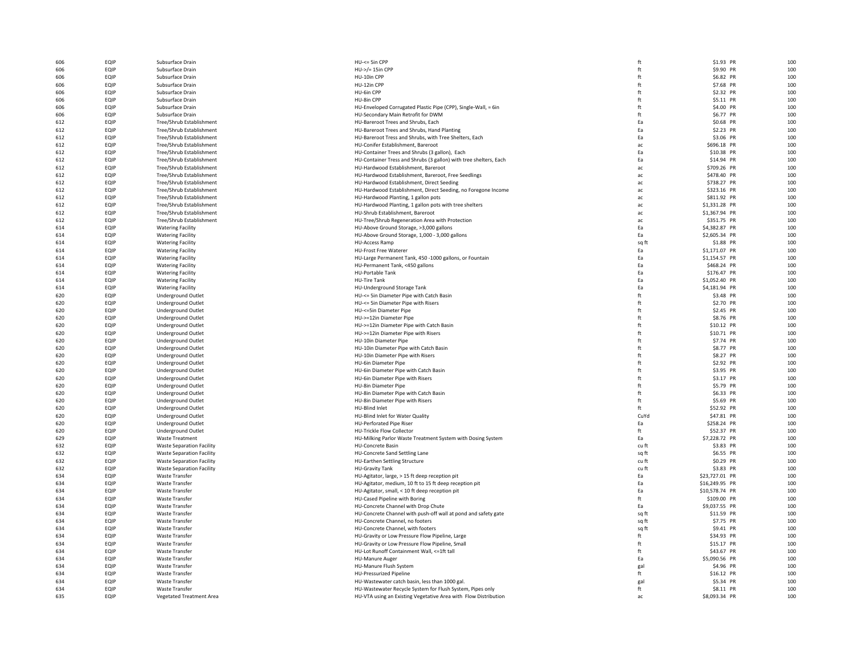| 606 | EQIP | Subsurface Drain                 | HU-<= 5in CPP                                                     | ft    | \$1.93 PR      | 100 |
|-----|------|----------------------------------|-------------------------------------------------------------------|-------|----------------|-----|
| 606 | EQIP | Subsurface Drain                 | HU->/= 15in CPP                                                   | ft    | \$9.90 PR      | 100 |
| 606 | EQIP | Subsurface Drain                 | HU-10in CPP                                                       | ft    | \$6.82 PR      | 100 |
| 606 | EQIP | Subsurface Drain                 | HU-12in CPP                                                       | ft    | \$7.68 PR      | 100 |
| 606 | EQIP | Subsurface Drain                 | HU-6in CPP                                                        | ft    | \$2.32 PR      | 100 |
| 606 | EQIP | Subsurface Drain                 | HU-8in CPP                                                        | ft    | \$5.11 PR      | 100 |
| 606 | EQIP | Subsurface Drain                 | HU-Enveloped Corrugated Plastic Pipe (CPP), Single-Wall, = 6in    | ft    | \$4.00 PR      | 100 |
| 606 | EQIP | Subsurface Drain                 | HU-Secondary Main Retrofit for DWM                                | ft    | \$6.77 PR      | 100 |
|     | EQIP | Tree/Shrub Establishment         | HU-Bareroot Trees and Shrubs, Each                                | Fa    |                | 100 |
| 612 |      |                                  |                                                                   |       | \$0.68 PR      | 100 |
| 612 | EQIP | Tree/Shrub Establishment         | HU-Bareroot Trees and Shrubs, Hand Planting                       | Ea    | \$2.23 PR      |     |
| 612 | EQIP | Tree/Shrub Establishment         | HU-Bareroot Tress and Shrubs, with Tree Shelters, Each            | Ea    | \$3.06 PR      | 100 |
| 612 | EQIP | Tree/Shrub Establishment         | HU-Conifer Establishment, Bareroot                                | ac    | \$696.18 PR    | 100 |
| 612 | EQIP | Tree/Shrub Establishment         | HU-Container Trees and Shrubs (3 gallon), Each                    | Ea    | \$10.38 PR     | 100 |
| 612 | EQIP | Tree/Shrub Establishment         | HU-Container Tress and Shrubs (3 gallon) with tree shelters, Each | Ea    | \$14.94 PR     | 100 |
| 612 | EQIP | Tree/Shrub Establishment         | HU-Hardwood Establishment, Bareroot                               | ac    | \$709.26 PR    | 100 |
| 612 | EQIP | Tree/Shrub Establishment         | HU-Hardwood Establishment, Bareroot, Free Seedlings               | ac    | \$478.40 PR    | 100 |
| 612 | EQIP | Tree/Shrub Establishment         | HU-Hardwood Establishment, Direct Seeding                         | ac    | \$738.27 PR    | 100 |
| 612 | EQIP | Tree/Shrub Establishment         | HU-Hardwood Establishment, Direct Seeding, no Foregone Income     | ac    | \$323.16 PR    | 100 |
| 612 | EQIP | Tree/Shrub Establishment         | HU-Hardwood Planting, 1 gallon pots                               | ac    | \$811.92 PR    | 100 |
| 612 | EQIP | Tree/Shrub Establishment         | HU-Hardwood Planting, 1 gallon pots with tree shelters            | ac    | \$1,331.28 PR  | 100 |
| 612 | EQIP | Tree/Shrub Establishment         | HU-Shrub Establishment, Bareroot                                  | ac    | \$1,367.94 PR  | 100 |
| 612 | EQIP | Tree/Shrub Establishment         | HU-Tree/Shrub Regeneration Area with Protection                   | ac    | \$351.75 PR    | 100 |
| 614 | EQIP | <b>Watering Facility</b>         | HU-Above Ground Storage, >3,000 gallons                           | Ea    | \$4,382.87 PR  | 100 |
|     |      |                                  |                                                                   | Fa    |                |     |
| 614 | EQIP | <b>Watering Facility</b>         | HU-Above Ground Storage, 1,000 - 3,000 gallons                    |       | \$2,605.34 PR  | 100 |
| 614 | EQIP | <b>Watering Facility</b>         | <b>HU-Access Ramp</b>                                             | sq ft | \$1.88 PR      | 100 |
| 614 | EQIP | <b>Watering Facility</b>         | <b>HU-Frost Free Waterer</b>                                      | Fa    | \$1,171.07 PR  | 100 |
| 614 | EQIP | <b>Watering Facility</b>         | HU-Large Permanent Tank, 450 -1000 gallons, or Fountain           | Ea    | \$1,154.57 PR  | 100 |
| 614 | EQIP | <b>Watering Facility</b>         | HU-Permanent Tank, <450 gallons                                   | Ea    | \$468.24 PR    | 100 |
| 614 | EQIP | <b>Watering Facility</b>         | HU-Portable Tank                                                  | Ea    | \$176.47 PR    | 100 |
| 614 | EQIP | <b>Watering Facility</b>         | <b>HU-Tire Tank</b>                                               | Ea    | \$1,052.40 PR  | 100 |
| 614 | EQIP | <b>Watering Facility</b>         | HU-Underground Storage Tank                                       | Ea    | \$4,181.94 PR  | 100 |
| 620 | EQIP | <b>Underground Outlet</b>        | HU-<= 5in Diameter Pipe with Catch Basin                          | ft    | \$3.48 PR      | 100 |
| 620 | EQIP | <b>Underground Outlet</b>        | HU-<= 5in Diameter Pipe with Risers                               | ft    | \$2.70 PR      | 100 |
| 620 | EQIP | <b>Underground Outlet</b>        | HU-<= 5in Diameter Pipe                                           | ft    | \$2.45 PR      | 100 |
| 620 | EQIP | <b>Underground Outlet</b>        | HU->=12in Diameter Pipe                                           | ft    | \$8.76 PR      | 100 |
| 620 | EQIP | Underground Outlet               | HU->=12in Diameter Pipe with Catch Basin                          | ft    | \$10.12 PR     | 100 |
| 620 | EQIP | <b>Underground Outlet</b>        | HU->=12in Diameter Pipe with Risers                               | ft    | \$10.71 PR     | 100 |
|     |      |                                  |                                                                   | ft    |                |     |
| 620 | EQIP | Underground Outlet               | HU-10in Diameter Pipe                                             |       | \$7.74 PR      | 100 |
| 620 | EQIP | <b>Underground Outlet</b>        | HU-10in Diameter Pipe with Catch Basin                            | ft    | \$8,77 PR      | 100 |
| 620 | EQIP | Underground Outlet               | HU-10in Diameter Pipe with Risers                                 | ft    | \$8.27 PR      | 100 |
| 620 | EQIP | <b>Underground Outlet</b>        | HU-6in Diameter Pipe                                              | ft    | \$2.92 PR      | 100 |
| 620 | EQIP | <b>Underground Outlet</b>        | HU-6in Diameter Pipe with Catch Basin                             | ft    | \$3.95 PR      | 100 |
| 620 | EQIP | Underground Outlet               | HU-6in Diameter Pipe with Risers                                  | ft    | \$3.17 PR      | 100 |
| 620 | EQIP | Underground Outlet               | HU-8in Diameter Pipe                                              | ft    | \$5.79 PR      | 100 |
| 620 | EQIP | <b>Underground Outlet</b>        | HU-8in Diameter Pipe with Catch Basin                             | ft    | \$6.33 PR      | 100 |
| 620 | EQIP | <b>Underground Outlet</b>        | HU-8in Diameter Pipe with Risers                                  | ft    | \$5.69 PR      | 100 |
| 620 | EQIP | Underground Outlet               | <b>HU-Blind Inlet</b>                                             | ft    | \$52.92 PR     | 100 |
| 620 | EQIP | <b>Underground Outlet</b>        | HU-Blind Inlet for Water Quality                                  | CuYd  | \$47.81 PR     | 100 |
| 620 | EQIP | <b>Underground Outlet</b>        | HU-Perforated Pipe Riser                                          | Ea    | \$258.24 PR    | 100 |
| 620 | EQIP | Underground Outlet               | <b>HU-Trickle Flow Collector</b>                                  | ft    | \$52.37 PR     | 100 |
| 629 | EQIP | <b>Waste Treatment</b>           | HU-Milking Parlor Waste Treatment System with Dosing System       | Ea    | \$7,228.72 PR  | 100 |
| 632 | EQIP | <b>Waste Separation Facility</b> | HU-Concrete Basin                                                 | cu ft | \$3.83 PR      | 100 |
| 632 | EQIP | <b>Waste Separation Facility</b> | HU-Concrete Sand Settling Lane                                    | sq ft | \$6.55 PR      | 100 |
| 632 | EQIP |                                  |                                                                   | cu ft | \$0.29 PR      | 100 |
|     |      | <b>Waste Separation Facility</b> | HU-Earthen Settling Structure                                     |       |                |     |
| 632 | EQIP | <b>Waste Separation Facility</b> | <b>HU-Gravity Tank</b>                                            | cu ft | \$3.83 PR      | 100 |
| 634 | EQIP | Waste Transfer                   | HU-Agitator, large, > 15 ft deep reception pit                    | Ea    | \$23,727.01 PR | 100 |
| 634 | EQIP | Waste Transfer                   | HU-Agitator, medium, 10 ft to 15 ft deep reception pit            | Ea    | \$16,249.95 PR | 100 |
| 634 | EQIP | Waste Transfer                   | HU-Agitator, small, < 10 ft deep reception pit                    | Ea    | \$10,578.74 PR | 100 |
| 634 | EQIP | Waste Transfer                   | HU-Cased Pipeline with Boring                                     | ft    | \$109.00 PR    | 100 |
| 634 | EQIP | Waste Transfer                   | HU-Concrete Channel with Drop Chute                               | Ea    | \$9,037.55 PR  | 100 |
| 634 | EQIP | Waste Transfer                   | HU-Concrete Channel with push-off wall at pond and safety gate    | sq ft | \$11.59 PR     | 100 |
| 634 | EQIP | Waste Transfer                   | HU-Concrete Channel, no footers                                   | sq ft | \$7.75 PR      | 100 |
| 634 | EQIP | Waste Transfer                   | HU-Concrete Channel, with footers                                 | sq ft | \$9.41 PR      | 100 |
| 634 | EQIP | Waste Transfer                   | HU-Gravity or Low Pressure Flow Pipeline, Large                   | ft    | \$34.93 PR     | 100 |
| 634 | EQIP | Waste Transfer                   | HU-Gravity or Low Pressure Flow Pipeline, Small                   | ft    | \$15.17 PR     | 100 |
| 634 | EQIP | Waste Transfer                   | HU-Lot Runoff Containment Wall, <= 1ft tall                       | ft    | \$43.67 PR     | 100 |
| 634 | EQIP | Waste Transfer                   | <b>HU-Manure Auger</b>                                            | Ea    | \$5,090.56 PR  | 100 |
| 634 | EQIP | Waste Transfer                   | HU-Manure Flush System                                            | gal   | \$4.96 PR      | 100 |
| 634 | EQIP | Waste Transfer                   | <b>HU-Pressurized Pipeline</b>                                    | ft    | \$16.12 PR     | 100 |
| 634 | EQIP | Waste Transfer                   | HU-Wastewater catch basin, less than 1000 gal.                    | gal   | \$5.34 PR      | 100 |
|     | EQIP | Waste Transfer                   | HU-Wastewater Recycle System for Flush System, Pipes only         | ft    | \$8.11 PR      | 100 |
| 634 | EQIP |                                  | HU-VTA using an Existing Vegetative Area with Flow Distribution   | ac    | \$8,093.34 PR  | 100 |
| 635 |      | Vegetated Treatment Area         |                                                                   |       |                |     |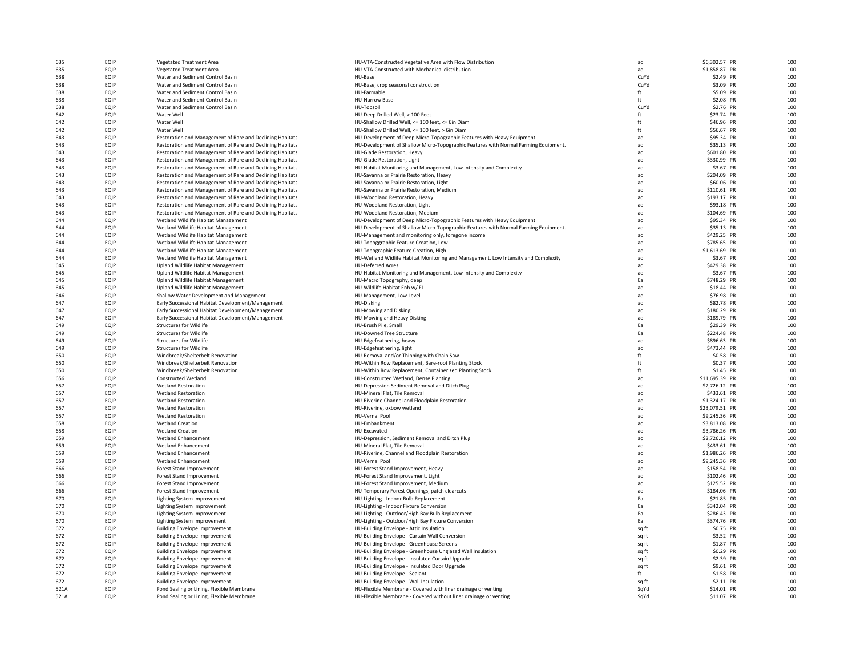| 635  | EQIP        | <b>Vegetated Treatment Area</b>                           | HU-VTA-Constructed Vegetative Area with Flow Distribution                           | ac    | \$6,302.57 PR  | 10 <sub>C</sub> |
|------|-------------|-----------------------------------------------------------|-------------------------------------------------------------------------------------|-------|----------------|-----------------|
| 635  | EQIP        | <b>Vegetated Treatment Area</b>                           | HU-VTA-Constructed with Mechanical distribution                                     | ac    | \$1,858.87 PR  | 100             |
| 638  | EQIP        | Water and Sediment Control Basin                          | HU-Base                                                                             | CuYd  | \$2.49 PR      | 100             |
| 638  | EQIP        | Water and Sediment Control Basin                          | HU-Base, crop seasonal construction                                                 | CuYd  | \$3.09 PR      | 100             |
| 638  | EQIP        | Water and Sediment Control Basin                          | HU-Farmable                                                                         | ft    | \$5.09 PR      | 10 <sup>c</sup> |
| 638  | EQIP        | Water and Sediment Control Basin                          | <b>HU-Narrow Base</b>                                                               | ft    | \$2.08 PR      | 100             |
| 638  | EQIP        | Water and Sediment Control Basin                          | HU-Topsoil                                                                          | CuYd  | \$2.76 PR      | 10 <sub>C</sub> |
| 642  | EQIP        | Water Well                                                | HU-Deep Drilled Well, > 100 Feet                                                    | ft    | \$23.74 PR     | 10 <sub>C</sub> |
| 642  | EQIP        | Water Well                                                | HU-Shallow Drilled Well, <= 100 feet, <= 6in Diam                                   | ft    | \$46.96 PR     | 100             |
| 642  | EQIP        | Water Well                                                | HU-Shallow Drilled Well, <= 100 feet, > 6in Diam                                    | ft    | \$56.67 PR     | 100             |
| 643  | EQIP        | Restoration and Management of Rare and Declining Habitats | HU-Development of Deep Micro-Topographic Features with Heavy Equipment.             | ac    | \$95.34 PR     | 10 <sup>c</sup> |
| 643  | EQIP        | Restoration and Management of Rare and Declining Habitats |                                                                                     |       | \$35.13 PR     | 10 <sub>C</sub> |
|      | EQIP        |                                                           | HU-Development of Shallow Micro-Topographic Features with Normal Farming Equipment. | ac    |                | 100             |
| 643  |             | Restoration and Management of Rare and Declining Habitats | HU-Glade Restoration, Heavy                                                         | ac    | \$601.80 PR    |                 |
| 643  | EQIP        | Restoration and Management of Rare and Declining Habitats | HU-Glade Restoration, Light                                                         | ac    | \$330.99 PR    | 10 <sub>C</sub> |
| 643  | EQIP        | Restoration and Management of Rare and Declining Habitats | HU-Habitat Monitoring and Management, Low Intensity and Complexity                  | ac    | \$3.67 PR      | 100             |
| 643  | EQIP        | Restoration and Management of Rare and Declining Habitats | HU-Savanna or Prairie Restoration, Heavy                                            | ac    | \$204.09 PR    | 100             |
| 643  | EQIP        | Restoration and Management of Rare and Declining Habitats | HU-Savanna or Prairie Restoration, Light                                            | ac    | \$60.06 PR     | 100             |
| 643  | EQIP        | Restoration and Management of Rare and Declining Habitats | HU-Savanna or Prairie Restoration, Medium                                           | ac    | \$110.61 PR    | 100             |
| 643  | EQIP        | Restoration and Management of Rare and Declining Habitats | HU-Woodland Restoration, Heavy                                                      | ac    | \$193.17 PR    | 100             |
| 643  | EQIP        | Restoration and Management of Rare and Declining Habitats | HU-Woodland Restoration, Light                                                      | ac    | \$93.18 PR     | 100             |
| 643  | EQIP        | Restoration and Management of Rare and Declining Habitats | HU-Woodland Restoration, Medium                                                     | ac    | \$104.69 PR    | 100             |
| 644  | EQIP        | Wetland Wildlife Habitat Management                       | HU-Development of Deep Micro-Topographic Features with Heavy Equipment.             | ac    | \$95.34 PR     | 10 <sup>c</sup> |
| 644  | EQIP        | Wetland Wildlife Habitat Management                       | HU-Development of Shallow Micro-Topographic Features with Normal Farming Equipment. | ac.   | \$35.13 PR     | 10 <sup>c</sup> |
| 644  | EQIP        | Wetland Wildlife Habitat Management                       | HU-Management and monitoring only, foregone income                                  | ac    | \$429.25 PR    | 10 <sup>c</sup> |
| 644  | EQIP        | Wetland Wildlife Habitat Management                       | HU-Topoggraphic Feature Creation, Low                                               | ac    | \$785.65 PR    | 10 <sup>c</sup> |
| 644  | EQIP        | Wetland Wildlife Habitat Management                       | HU-Topographic Feature Creation, High                                               | ac    | \$1,613.69 PR  | 10 <sub>C</sub> |
| 644  | EQIP        | Wetland Wildlife Habitat Management                       | HU-Wetland Widlife Habitat Monitoring and Management, Low Intensity and Complexity  | ac    | \$3.67 PR      | 10 <sub>C</sub> |
| 645  | EQIP        | Upland Wildlife Habitat Management                        | <b>HU-Deferred Acres</b>                                                            | ac    | \$429.38 PR    | 10 <sub>C</sub> |
| 645  | EQIP        | Upland Wildlife Habitat Management                        | HU-Habitat Monitoring and Management, Low Intensity and Complexity                  | ac    | \$3.67 PR      | 10 <sub>C</sub> |
| 645  | EQIP        | Upland Wildlife Habitat Management                        | HU-Macro Topography, deep                                                           | Ea    | \$748.29 PR    | 10 <sup>c</sup> |
| 645  | EQIP        | Upland Wildlife Habitat Management                        | HU-Wildlife Habitat Enh w/ FI                                                       | ac    | \$18.44 PR     | 10 <sup>c</sup> |
|      | EQIP        |                                                           |                                                                                     |       |                | 10 <sub>C</sub> |
| 646  |             | Shallow Water Development and Management                  | HU-Management, Low Level                                                            | ac    | \$76.98 PR     | 10 <sub>C</sub> |
| 647  | EQIP        | Early Successional Habitat Development/Management         | HU-Disking                                                                          | ac    | \$82.78 PR     |                 |
| 647  | EQIP        | Early Successional Habitat Development/Management         | <b>HU-Mowing and Disking</b>                                                        | ac    | \$180.29 PR    | 10 <sub>C</sub> |
| 647  | EQIP        | Early Successional Habitat Development/Management         | HU-Mowing and Heavy Disking                                                         | ac    | \$189.79 PR    | 100             |
| 649  | EQIP        | <b>Structures for Wildlife</b>                            | HU-Brush Pile, Small                                                                | Ea    | \$29.39 PR     | 100             |
| 649  | <b>FOIP</b> | <b>Structures for Wildlife</b>                            | HU-Downed Tree Structure                                                            | Ea    | \$224.48 PR    | 100             |
| 649  | EQIP        | Structures for Wildlife                                   | HU-Edgefeathering, heavy                                                            | ac    | \$896.63 PR    | 100             |
| 649  | EQIP        | <b>Structures for Wildlife</b>                            | HU-Edgefeathering, light                                                            | ac    | \$473.44 PR    | 100             |
| 650  | EQIP        | Windbreak/Shelterbelt Renovation                          | HU-Removal and/or Thinning with Chain Saw                                           | ft    | \$0.58 PR      | 100             |
| 650  | EQIP        | Windbreak/Shelterbelt Renovation                          | HU-Within Row Replacement, Bare-root Planting Stock                                 | ft    | \$0.37 PR      | 100             |
| 650  | EQIP        | Windbreak/Shelterbelt Renovation                          | HU-Within Row Replacement, Containerized Planting Stock                             | ft    | \$1.45 PR      | 100             |
| 656  | EQIP        | <b>Constructed Wetland</b>                                | HU-Constructed Wetland, Dense Planting                                              | ac.   | \$11,695.39 PR | 10 <sup>c</sup> |
| 657  | EQIP        | <b>Wetland Restoration</b>                                | HU-Depression Sediment Removal and Ditch Plug                                       | ac    | \$2,726.12 PR  | 10 <sup>c</sup> |
| 657  | EQIP        | <b>Wetland Restoration</b>                                | HU-Mineral Flat, Tile Removal                                                       | ac    | \$433.61 PR    | 10 <sup>c</sup> |
| 657  | EQIP        | <b>Wetland Restoration</b>                                | HU-Riverine Channel and Floodplain Restoration                                      | ac    | \$1,324.17 PR  | 10 <sub>C</sub> |
| 657  | EQIP        | <b>Wetland Restoration</b>                                | HU-Riverine, oxbow wetland                                                          | ac    | \$23,079.51 PR | 10 <sub>C</sub> |
| 657  | <b>FOIP</b> | <b>Wetland Restoration</b>                                | HU-Vernal Pool                                                                      | ac    | \$9,245.36 PR  | 10 <sub>C</sub> |
| 658  | EQIP        | <b>Wetland Creation</b>                                   | HU-Embankment                                                                       | ac    | \$3,813.08 PR  | 10 <sub>C</sub> |
| 658  | EQIP        | <b>Wetland Creation</b>                                   | HU-Excavated                                                                        | ac    | \$3,786.26 PR  | 10 <sup>c</sup> |
| 659  | EQIP        | <b>Wetland Enhancement</b>                                | HU-Depression, Sediment Removal and Ditch Plug                                      | ac    | \$2,726.12 PR  | 100             |
| 659  | EQIP        | Wetland Enhancement                                       | HU-Mineral Flat, Tile Removal                                                       | ac    | \$433.61 PR    | 10 <sub>C</sub> |
| 659  | EQIP        | <b>Wetland Enhancement</b>                                | HU-Riverine, Channel and Floodplain Restoration                                     | ac    | \$1,986.26 PR  | 10 <sub>C</sub> |
| 659  | EQIP        | <b>Wetland Enhancement</b>                                | <b>HU-Vernal Pool</b>                                                               | ac    | \$9,245.36 PR  | 10 <sub>C</sub> |
| 666  | EQIP        | Forest Stand Improvement                                  | HU-Forest Stand Improvement, Heavy                                                  | ac    | \$158.54 PR    | 100             |
|      |             |                                                           |                                                                                     |       |                |                 |
| 666  | EQIP        | Forest Stand Improvement                                  | HU-Forest Stand Improvement, Light                                                  | ac    | \$102.46 PR    | 100             |
| 666  | EQIP        | Forest Stand Improvement                                  | HU-Forest Stand Improvement, Medium                                                 | ac    | \$125.52 PR    | 100             |
| 666  | EQIP        | Forest Stand Improvement                                  | HU-Temporary Forest Openings, patch clearcuts                                       | ac    | \$184.06 PR    | 100             |
| 670  | EQIP        | Lighting System Improvement                               | HU-Lighting - Indoor Bulb Replacement                                               | Ea    | \$21.85 PR     | 100             |
| 670  | EQIP        | Lighting System Improvement                               | HU-Lighting - Indoor Fixture Conversion                                             | Ea    | \$342.04 PR    | 100             |
| 670  | EQIP        | Lighting System Improvement                               | HU-Lighting - Outdoor/High Bay Bulb Replacement                                     | Ea    | \$286.43 PR    | 100             |
| 670  | EQIP        | Lighting System Improvement                               | HU-Lighting - Outdoor/High Bay Fixture Conversion                                   | Ea    | \$374.76 PR    | 100             |
| 672  | EQIP        | <b>Building Envelope Improvement</b>                      | HU-Building Envelope - Attic Insulation                                             | sq ft | \$0.75 PR      | 10 <sup>c</sup> |
| 672  | EQIP        | <b>Building Envelope Improvement</b>                      | HU-Building Envelope - Curtain Wall Conversion                                      | sq ft | \$3.52 PR      | 10 <sup>c</sup> |
| 672  | <b>FOIP</b> | <b>Building Envelope Improvement</b>                      | HU-Building Envelope - Greenhouse Screens                                           | sq ft | \$1.87 PR      | 10 <sub>C</sub> |
| 672  | EQIP        | <b>Building Envelope Improvement</b>                      | HU-Building Envelope - Greenhouse Unglazed Wall Insulation                          | sq ft | \$0.29 PR      | 10 <sub>C</sub> |
| 672  | EQIP        | <b>Building Envelope Improvement</b>                      | HU-Building Envelope - Insulated Curtain Upgrade                                    | sq ft | \$2.39 PR      | 10 <sub>C</sub> |
| 672  | EQIP        | <b>Building Envelope Improvement</b>                      | HU-Building Envelope - Insulated Door Upgrade                                       | sq ft | \$9.61 PR      | 100             |
| 672  | EQIP        | <b>Building Envelope Improvement</b>                      | HU-Building Envelope - Sealant                                                      | ft    | \$1.58 PR      | 10 <sub>C</sub> |
| 672  | <b>FOIP</b> | <b>Building Envelope Improvement</b>                      | HU-Building Envelope - Wall Insulation                                              | sq ft | \$2.11 PR      | 10 <sup>c</sup> |
| 521A | EQIP        | Pond Sealing or Lining, Flexible Membrane                 | HU-Flexible Membrane - Covered with liner drainage or venting                       | SqYd  | \$14.01 PR     | 100             |
| 521A | EQIP        | Pond Sealing or Lining, Flexible Membrane                 | HU-Flexible Membrane - Covered without liner drainage or venting                    | SaYd  | \$11.07 PR     | 100             |
|      |             |                                                           |                                                                                     |       |                |                 |